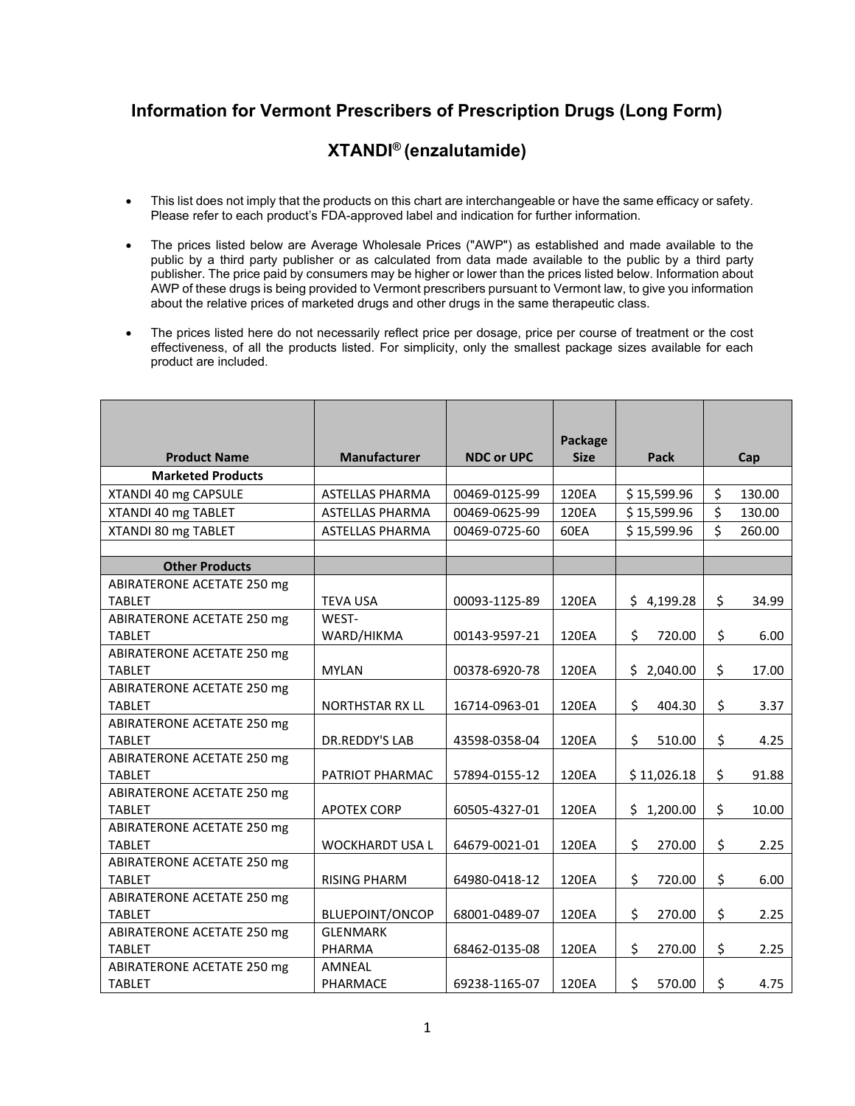## **Information for Vermont Prescribers of Prescription Drugs (Long Form)**

## **XTANDI® (enzalutamide)**

- This list does not imply that the products on this chart are interchangeable or have the same efficacy or safety. Please refer to each product's FDA-approved label and indication for further information.
- The prices listed below are Average Wholesale Prices ("AWP") as established and made available to the public by a third party publisher or as calculated from data made available to the public by a third party publisher. The price paid by consumers may be higher or lower than the prices listed below. Information about AWP of these drugs is being provided to Vermont prescribers pursuant to Vermont law, to give you information about the relative prices of marketed drugs and other drugs in the same therapeutic class.
- The prices listed here do not necessarily reflect price per dosage, price per course of treatment or the cost effectiveness, of all the products listed. For simplicity, only the smallest package sizes available for each product are included.

| <b>Product Name</b>                         | <b>Manufacturer</b>    | <b>NDC or UPC</b> | Package<br><b>Size</b> | Pack         | Cap          |
|---------------------------------------------|------------------------|-------------------|------------------------|--------------|--------------|
| <b>Marketed Products</b>                    |                        |                   |                        |              |              |
| XTANDI 40 mg CAPSULE                        | ASTELLAS PHARMA        | 00469-0125-99     | 120EA                  | \$15,599.96  | \$<br>130.00 |
| XTANDI 40 mg TABLET                         | ASTELLAS PHARMA        | 00469-0625-99     | 120EA                  | \$15,599.96  | \$<br>130.00 |
| XTANDI 80 mg TABLET                         | <b>ASTELLAS PHARMA</b> | 00469-0725-60     | 60EA                   | \$15,599.96  | \$<br>260.00 |
|                                             |                        |                   |                        |              |              |
| <b>Other Products</b>                       |                        |                   |                        |              |              |
| ABIRATERONE ACETATE 250 mg                  |                        |                   |                        |              |              |
| <b>TABLET</b>                               | <b>TEVA USA</b>        | 00093-1125-89     | 120EA                  | \$4,199.28   | \$<br>34.99  |
| <b>ABIRATERONE ACETATE 250 mg</b>           | WEST-                  |                   |                        |              |              |
| <b>TABLET</b>                               | WARD/HIKMA             | 00143-9597-21     | 120EA                  | \$<br>720.00 | \$<br>6.00   |
| ABIRATERONE ACETATE 250 mg<br><b>TABLET</b> | <b>MYLAN</b>           | 00378-6920-78     | 120EA                  |              | \$           |
| <b>ABIRATERONE ACETATE 250 mg</b>           |                        |                   |                        | \$2,040.00   | 17.00        |
| <b>TABLET</b>                               | <b>NORTHSTAR RX LL</b> | 16714-0963-01     | 120EA                  | \$<br>404.30 | \$<br>3.37   |
| ABIRATERONE ACETATE 250 mg                  |                        |                   |                        |              |              |
| <b>TABLET</b>                               | DR.REDDY'S LAB         | 43598-0358-04     | 120EA                  | \$<br>510.00 | \$<br>4.25   |
| ABIRATERONE ACETATE 250 mg                  |                        |                   |                        |              |              |
| <b>TABLET</b>                               | PATRIOT PHARMAC        | 57894-0155-12     | 120EA                  | \$11,026.18  | \$<br>91.88  |
| ABIRATERONE ACETATE 250 mg                  |                        |                   |                        |              |              |
| <b>TABLET</b>                               | <b>APOTEX CORP</b>     | 60505-4327-01     | 120EA                  | \$1,200.00   | \$<br>10.00  |
| ABIRATERONE ACETATE 250 mg                  |                        |                   |                        |              |              |
| <b>TABLET</b>                               | <b>WOCKHARDT USA L</b> | 64679-0021-01     | 120EA                  | \$<br>270.00 | \$<br>2.25   |
| ABIRATERONE ACETATE 250 mg                  |                        |                   |                        |              |              |
| <b>TABLET</b>                               | <b>RISING PHARM</b>    | 64980-0418-12     | 120EA                  | \$<br>720.00 | \$<br>6.00   |
| ABIRATERONE ACETATE 250 mg                  |                        |                   |                        |              |              |
| <b>TABLET</b>                               | <b>BLUEPOINT/ONCOP</b> | 68001-0489-07     | 120EA                  | \$<br>270.00 | \$<br>2.25   |
| ABIRATERONE ACETATE 250 mg                  | <b>GLENMARK</b>        |                   |                        |              |              |
| <b>TABLET</b>                               | PHARMA                 | 68462-0135-08     | 120EA                  | \$<br>270.00 | \$<br>2.25   |
| ABIRATERONE ACETATE 250 mg                  | AMNEAL                 |                   |                        |              |              |
| <b>TABLET</b>                               | PHARMACE               | 69238-1165-07     | 120EA                  | \$<br>570.00 | \$<br>4.75   |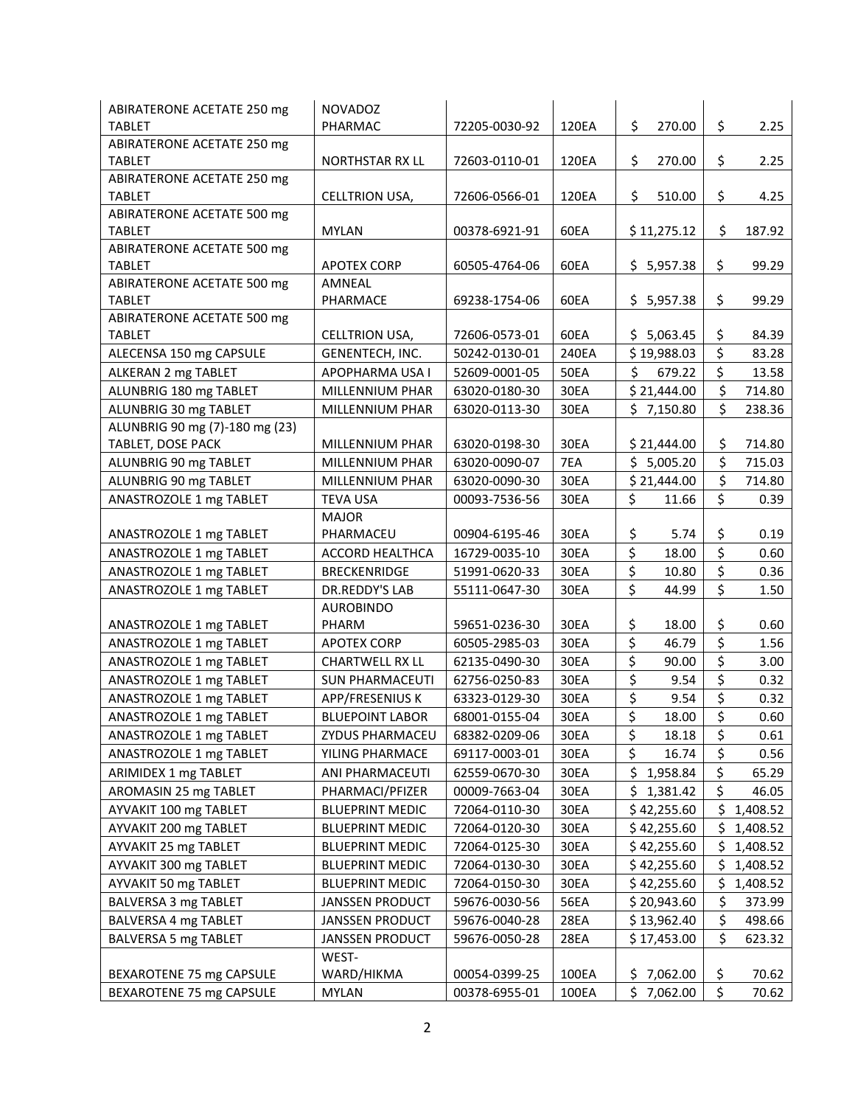| ABIRATERONE ACETATE 250 mg                  | <b>NOVADOZ</b>         |               |             |                                          |                  |            |
|---------------------------------------------|------------------------|---------------|-------------|------------------------------------------|------------------|------------|
| <b>TABLET</b>                               | PHARMAC                | 72205-0030-92 | 120EA       | \$<br>270.00                             | \$               | 2.25       |
| ABIRATERONE ACETATE 250 mg                  |                        |               |             |                                          |                  |            |
| <b>TABLET</b>                               | NORTHSTAR RX LL        | 72603-0110-01 | 120EA       | \$<br>270.00                             | \$               | 2.25       |
| ABIRATERONE ACETATE 250 mg                  |                        |               |             |                                          |                  |            |
| <b>TABLET</b>                               | CELLTRION USA,         | 72606-0566-01 | 120EA       | \$<br>510.00                             | \$               | 4.25       |
| ABIRATERONE ACETATE 500 mg                  |                        |               |             |                                          |                  |            |
| <b>TABLET</b>                               | <b>MYLAN</b>           | 00378-6921-91 | 60EA        | \$11,275.12                              | \$               | 187.92     |
| <b>ABIRATERONE ACETATE 500 mg</b>           |                        |               |             |                                          |                  |            |
| <b>TABLET</b>                               | <b>APOTEX CORP</b>     | 60505-4764-06 | 60EA        | \$5,957.38                               | \$               | 99.29      |
| ABIRATERONE ACETATE 500 mg<br><b>TABLET</b> | AMNEAL<br>PHARMACE     | 69238-1754-06 | 60EA        | \$5,957.38                               | \$               | 99.29      |
| ABIRATERONE ACETATE 500 mg                  |                        |               |             |                                          |                  |            |
| <b>TABLET</b>                               | CELLTRION USA,         | 72606-0573-01 | 60EA        | \$5,063.45                               | \$               | 84.39      |
| ALECENSA 150 mg CAPSULE                     | GENENTECH, INC.        | 50242-0130-01 | 240EA       | \$19,988.03                              | \$               | 83.28      |
| ALKERAN 2 mg TABLET                         | APOPHARMA USA I        | 52609-0001-05 | <b>50EA</b> | \$<br>679.22                             | \$               | 13.58      |
| ALUNBRIG 180 mg TABLET                      | MILLENNIUM PHAR        | 63020-0180-30 | 30EA        | \$21,444.00                              | \$               | 714.80     |
| ALUNBRIG 30 mg TABLET                       | MILLENNIUM PHAR        | 63020-0113-30 | 30EA        | \$7,150.80                               | \$               | 238.36     |
| ALUNBRIG 90 mg (7)-180 mg (23)              |                        |               |             |                                          |                  |            |
| TABLET, DOSE PACK                           | MILLENNIUM PHAR        | 63020-0198-30 | 30EA        | \$21,444.00                              | \$               | 714.80     |
| ALUNBRIG 90 mg TABLET                       | <b>MILLENNIUM PHAR</b> | 63020-0090-07 | 7EA         | \$5,005.20                               | \$               | 715.03     |
| ALUNBRIG 90 mg TABLET                       | MILLENNIUM PHAR        | 63020-0090-30 | 30EA        | \$21,444.00                              | \$               | 714.80     |
| ANASTROZOLE 1 mg TABLET                     | <b>TEVA USA</b>        | 00093-7536-56 | 30EA        | \$<br>11.66                              | \$               | 0.39       |
|                                             | <b>MAJOR</b>           |               |             |                                          |                  |            |
| ANASTROZOLE 1 mg TABLET                     | PHARMACEU              | 00904-6195-46 | 30EA        | \$<br>5.74                               | \$               | 0.19       |
| ANASTROZOLE 1 mg TABLET                     | <b>ACCORD HEALTHCA</b> | 16729-0035-10 | 30EA        | $\overline{\boldsymbol{\zeta}}$<br>18.00 | \$               | 0.60       |
| ANASTROZOLE 1 mg TABLET                     | <b>BRECKENRIDGE</b>    | 51991-0620-33 | 30EA        | \$<br>10.80                              | \$               | 0.36       |
| ANASTROZOLE 1 mg TABLET                     | DR.REDDY'S LAB         | 55111-0647-30 | 30EA        | \$<br>44.99                              | \$               | 1.50       |
|                                             | <b>AUROBINDO</b>       |               |             |                                          |                  |            |
| ANASTROZOLE 1 mg TABLET                     | PHARM                  | 59651-0236-30 | 30EA        | \$<br>18.00                              | \$               | 0.60       |
| ANASTROZOLE 1 mg TABLET                     | <b>APOTEX CORP</b>     | 60505-2985-03 | 30EA        | \$<br>46.79                              | \$               | 1.56       |
| ANASTROZOLE 1 mg TABLET                     | <b>CHARTWELL RX LL</b> | 62135-0490-30 | 30EA        | $\overline{\xi}$<br>90.00                | $\overline{\xi}$ | 3.00       |
| ANASTROZOLE 1 mg TABLET                     | <b>SUN PHARMACEUTI</b> | 62756-0250-83 | 30EA        | \$<br>9.54                               | \$               | 0.32       |
| ANASTROZOLE 1 mg TABLET                     | APP/FRESENIUS K        | 63323-0129-30 | 30EA        | \$<br>9.54                               | \$               | 0.32       |
| ANASTROZOLE 1 mg TABLET                     | <b>BLUEPOINT LABOR</b> | 68001-0155-04 | 30EA        | \$<br>18.00                              | \$               | 0.60       |
| ANASTROZOLE 1 mg TABLET                     | ZYDUS PHARMACEU        | 68382-0209-06 | 30EA        | \$<br>18.18                              | \$               | 0.61       |
| ANASTROZOLE 1 mg TABLET                     | YILING PHARMACE        | 69117-0003-01 | 30EA        | \$<br>16.74                              | \$               | 0.56       |
| ARIMIDEX 1 mg TABLET                        | ANI PHARMACEUTI        | 62559-0670-30 | 30EA        | \$<br>1,958.84                           | \$               | 65.29      |
| AROMASIN 25 mg TABLET                       | PHARMACI/PFIZER        | 00009-7663-04 | 30EA        | \$<br>1,381.42                           | \$               | 46.05      |
| AYVAKIT 100 mg TABLET                       | <b>BLUEPRINT MEDIC</b> | 72064-0110-30 | 30EA        | \$42,255.60                              | \$               | 1,408.52   |
| AYVAKIT 200 mg TABLET                       | <b>BLUEPRINT MEDIC</b> | 72064-0120-30 | 30EA        | \$42,255.60                              |                  | \$1,408.52 |
| AYVAKIT 25 mg TABLET                        | <b>BLUEPRINT MEDIC</b> | 72064-0125-30 | 30EA        | \$42,255.60                              | \$               | 1,408.52   |
| AYVAKIT 300 mg TABLET                       | <b>BLUEPRINT MEDIC</b> | 72064-0130-30 | 30EA        | \$42,255.60                              | \$               | 1,408.52   |
| AYVAKIT 50 mg TABLET                        | <b>BLUEPRINT MEDIC</b> | 72064-0150-30 | 30EA        | \$42,255.60                              | \$               | 1,408.52   |
| BALVERSA 3 mg TABLET                        | <b>JANSSEN PRODUCT</b> | 59676-0030-56 | 56EA        | \$20,943.60                              | \$               | 373.99     |
| BALVERSA 4 mg TABLET                        | <b>JANSSEN PRODUCT</b> | 59676-0040-28 | 28EA        | \$13,962.40                              | \$               | 498.66     |
| BALVERSA 5 mg TABLET                        | JANSSEN PRODUCT        | 59676-0050-28 | 28EA        | \$17,453.00                              | \$               | 623.32     |
|                                             | WEST-                  |               |             |                                          |                  |            |
| BEXAROTENE 75 mg CAPSULE                    | WARD/HIKMA             | 00054-0399-25 | 100EA       | \$7,062.00                               | \$               | 70.62      |
| BEXAROTENE 75 mg CAPSULE                    | <b>MYLAN</b>           | 00378-6955-01 | 100EA       | \$7,062.00                               | \$               | 70.62      |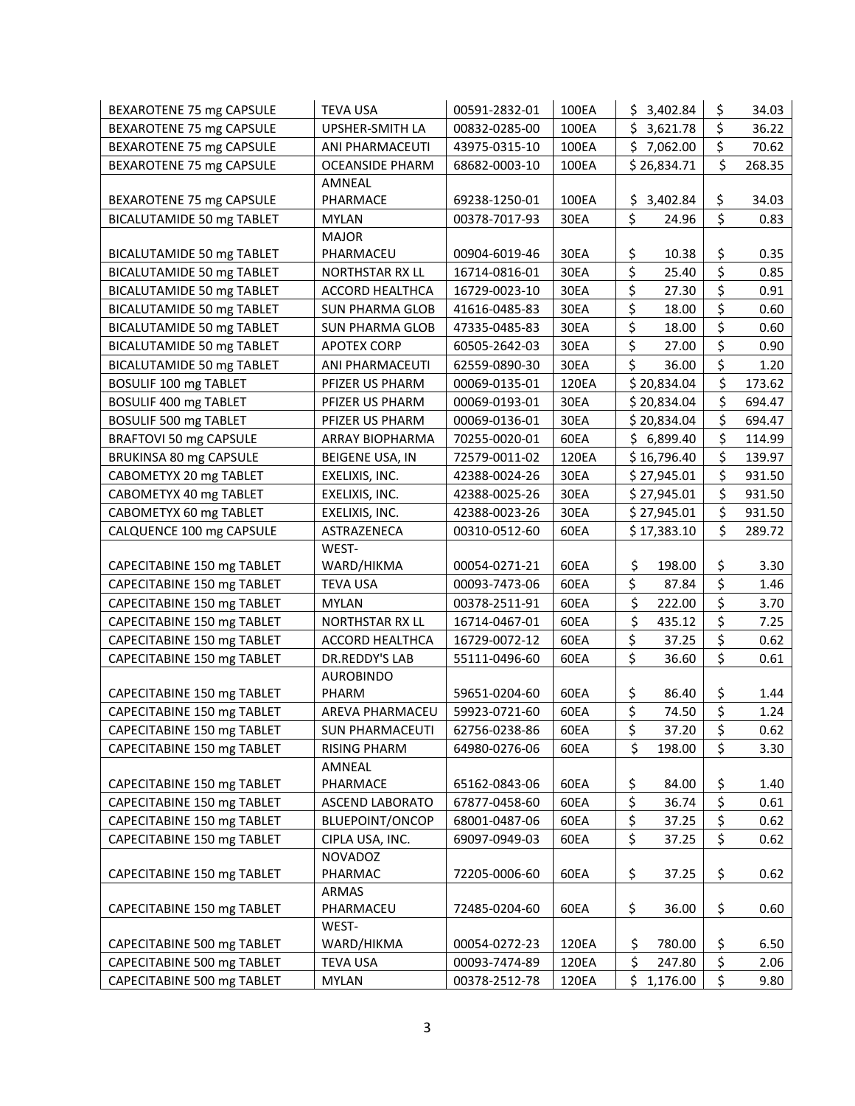| BEXAROTENE 75 mg CAPSULE         | <b>TEVA USA</b>        | 00591-2832-01 | 100EA | \$3,402.84                | \$<br>34.03  |
|----------------------------------|------------------------|---------------|-------|---------------------------|--------------|
| BEXAROTENE 75 mg CAPSULE         | UPSHER-SMITH LA        | 00832-0285-00 | 100EA | \$3,621.78                | \$<br>36.22  |
| BEXAROTENE 75 mg CAPSULE         | ANI PHARMACEUTI        | 43975-0315-10 | 100EA | \$7,062.00                | \$<br>70.62  |
| BEXAROTENE 75 mg CAPSULE         | <b>OCEANSIDE PHARM</b> | 68682-0003-10 | 100EA | \$26,834.71               | \$<br>268.35 |
|                                  | AMNEAL                 |               |       |                           |              |
| BEXAROTENE 75 mg CAPSULE         | PHARMACE               | 69238-1250-01 | 100EA | 3,402.84<br>\$            | \$<br>34.03  |
| <b>BICALUTAMIDE 50 mg TABLET</b> | <b>MYLAN</b>           | 00378-7017-93 | 30EA  | \$<br>24.96               | \$<br>0.83   |
|                                  | <b>MAJOR</b>           |               |       |                           |              |
| BICALUTAMIDE 50 mg TABLET        | PHARMACEU              | 00904-6019-46 | 30EA  | \$<br>10.38               | \$<br>0.35   |
| <b>BICALUTAMIDE 50 mg TABLET</b> | NORTHSTAR RX LL        | 16714-0816-01 | 30EA  | \$<br>25.40               | \$<br>0.85   |
| <b>BICALUTAMIDE 50 mg TABLET</b> | ACCORD HEALTHCA        | 16729-0023-10 | 30EA  | \$<br>27.30               | \$<br>0.91   |
| <b>BICALUTAMIDE 50 mg TABLET</b> | <b>SUN PHARMA GLOB</b> | 41616-0485-83 | 30EA  | $\overline{\xi}$<br>18.00 | \$<br>0.60   |
| <b>BICALUTAMIDE 50 mg TABLET</b> | <b>SUN PHARMA GLOB</b> | 47335-0485-83 | 30EA  | \$<br>18.00               | \$<br>0.60   |
| BICALUTAMIDE 50 mg TABLET        | <b>APOTEX CORP</b>     | 60505-2642-03 | 30EA  | \$<br>27.00               | \$<br>0.90   |
| BICALUTAMIDE 50 mg TABLET        | ANI PHARMACEUTI        | 62559-0890-30 | 30EA  | \$<br>36.00               | \$<br>1.20   |
| <b>BOSULIF 100 mg TABLET</b>     | PFIZER US PHARM        | 00069-0135-01 | 120EA | \$20,834.04               | \$<br>173.62 |
| BOSULIF 400 mg TABLET            | PFIZER US PHARM        | 00069-0193-01 | 30EA  | \$20,834.04               | \$<br>694.47 |
| BOSULIF 500 mg TABLET            | PFIZER US PHARM        | 00069-0136-01 | 30EA  | \$20,834.04               | \$<br>694.47 |
| BRAFTOVI 50 mg CAPSULE           | <b>ARRAY BIOPHARMA</b> | 70255-0020-01 | 60EA  | \$6,899.40                | \$<br>114.99 |
| BRUKINSA 80 mg CAPSULE           | BEIGENE USA, IN        | 72579-0011-02 | 120EA | \$16,796.40               | \$<br>139.97 |
| CABOMETYX 20 mg TABLET           | EXELIXIS, INC.         | 42388-0024-26 | 30EA  | \$27,945.01               | \$<br>931.50 |
| CABOMETYX 40 mg TABLET           | EXELIXIS, INC.         | 42388-0025-26 | 30EA  | \$27,945.01               | \$<br>931.50 |
| CABOMETYX 60 mg TABLET           | EXELIXIS, INC.         | 42388-0023-26 | 30EA  | \$27,945.01               | \$<br>931.50 |
| CALQUENCE 100 mg CAPSULE         | ASTRAZENECA            | 00310-0512-60 | 60EA  | \$17,383.10               | \$<br>289.72 |
|                                  | WEST-                  |               |       |                           |              |
| CAPECITABINE 150 mg TABLET       | WARD/HIKMA             | 00054-0271-21 | 60EA  | \$<br>198.00              | \$<br>3.30   |
| CAPECITABINE 150 mg TABLET       | <b>TEVA USA</b>        | 00093-7473-06 | 60EA  | \$<br>87.84               | \$<br>1.46   |
| CAPECITABINE 150 mg TABLET       | <b>MYLAN</b>           | 00378-2511-91 | 60EA  | \$<br>222.00              | \$<br>3.70   |
| CAPECITABINE 150 mg TABLET       | NORTHSTAR RX LL        | 16714-0467-01 | 60EA  | \$<br>435.12              | \$<br>7.25   |
| CAPECITABINE 150 mg TABLET       | <b>ACCORD HEALTHCA</b> | 16729-0072-12 | 60EA  | \$<br>37.25               | \$<br>0.62   |
| CAPECITABINE 150 mg TABLET       | <b>DR.REDDY'S LAB</b>  | 55111-0496-60 | 60EA  | \$<br>36.60               | \$<br>0.61   |
|                                  | <b>AUROBINDO</b>       |               |       |                           |              |
| CAPECITABINE 150 mg TABLET       | PHARM                  | 59651-0204-60 | 60EA  | \$<br>86.40               | \$<br>1.44   |
| CAPECITABINE 150 mg TABLET       | AREVA PHARMACEU        | 59923-0721-60 | 60EA  | \$<br>74.50               | \$<br>1.24   |
| CAPECITABINE 150 mg TABLET       | <b>SUN PHARMACEUTI</b> | 62756-0238-86 | 60EA  | \$<br>37.20               | \$<br>0.62   |
| CAPECITABINE 150 mg TABLET       | <b>RISING PHARM</b>    | 64980-0276-06 | 60EA  | \$<br>198.00              | \$<br>3.30   |
|                                  | AMNEAL                 |               |       |                           |              |
| CAPECITABINE 150 mg TABLET       | PHARMACE               | 65162-0843-06 | 60EA  | \$<br>84.00               | \$<br>1.40   |
| CAPECITABINE 150 mg TABLET       | ASCEND LABORATO        | 67877-0458-60 | 60EA  | \$<br>36.74               | \$<br>0.61   |
| CAPECITABINE 150 mg TABLET       | BLUEPOINT/ONCOP        | 68001-0487-06 | 60EA  | \$<br>37.25               | \$<br>0.62   |
| CAPECITABINE 150 mg TABLET       | CIPLA USA, INC.        | 69097-0949-03 | 60EA  | \$<br>37.25               | \$<br>0.62   |
|                                  | <b>NOVADOZ</b>         |               |       |                           |              |
| CAPECITABINE 150 mg TABLET       | PHARMAC                | 72205-0006-60 | 60EA  | \$<br>37.25               | \$<br>0.62   |
|                                  | <b>ARMAS</b>           |               |       |                           |              |
| CAPECITABINE 150 mg TABLET       | PHARMACEU              | 72485-0204-60 | 60EA  | \$<br>36.00               | \$<br>0.60   |
|                                  | WEST-                  |               |       |                           |              |
| CAPECITABINE 500 mg TABLET       | WARD/HIKMA             | 00054-0272-23 | 120EA | \$<br>780.00              | \$<br>6.50   |
| CAPECITABINE 500 mg TABLET       | <b>TEVA USA</b>        | 00093-7474-89 | 120EA | \$<br>247.80              | \$<br>2.06   |
| CAPECITABINE 500 mg TABLET       | <b>MYLAN</b>           | 00378-2512-78 | 120EA | \$<br>1,176.00            | \$<br>9.80   |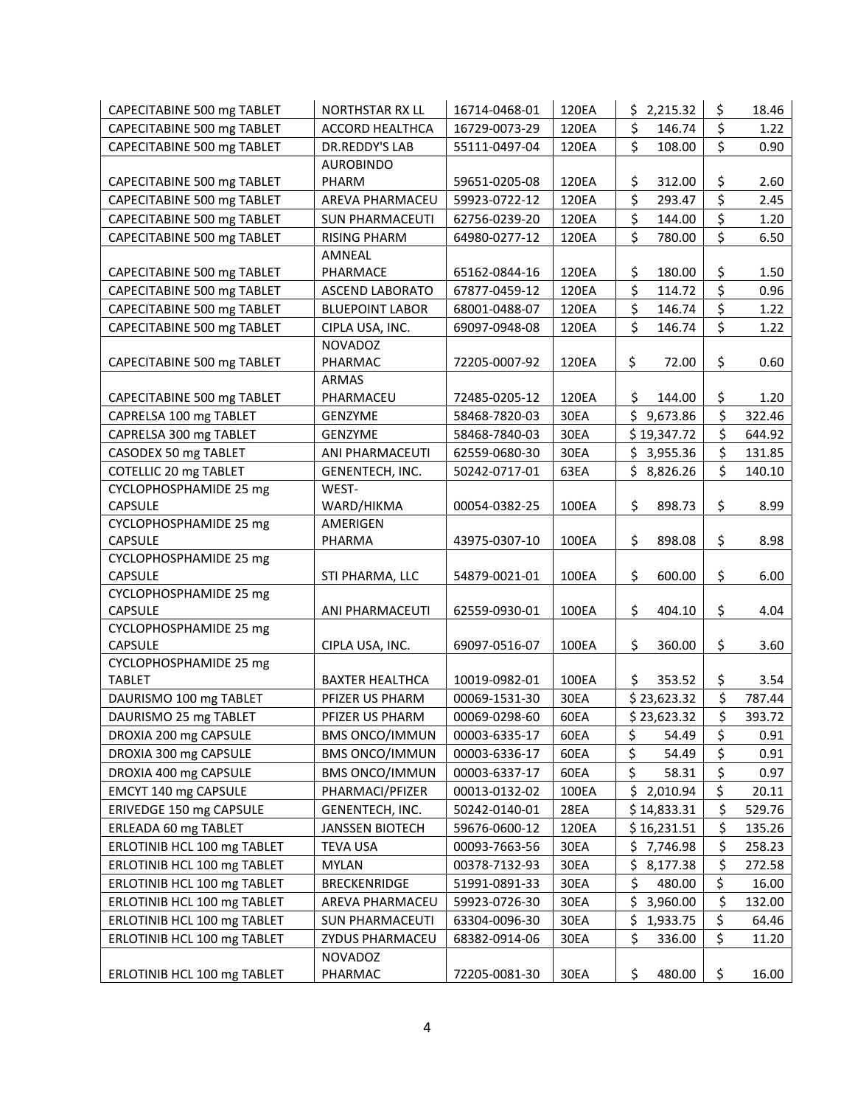| CAPECITABINE 500 mg TABLET              | <b>NORTHSTAR RX LL</b> | 16714-0468-01 | 120EA | \$2,215.32      | \$               | 18.46  |
|-----------------------------------------|------------------------|---------------|-------|-----------------|------------------|--------|
| CAPECITABINE 500 mg TABLET              | <b>ACCORD HEALTHCA</b> | 16729-0073-29 | 120EA | \$<br>146.74    | \$               | 1.22   |
| CAPECITABINE 500 mg TABLET              | <b>DR.REDDY'S LAB</b>  | 55111-0497-04 | 120EA | \$<br>108.00    | \$               | 0.90   |
|                                         | <b>AUROBINDO</b>       |               |       |                 |                  |        |
| CAPECITABINE 500 mg TABLET              | PHARM                  | 59651-0205-08 | 120EA | \$<br>312.00    | \$               | 2.60   |
| CAPECITABINE 500 mg TABLET              | AREVA PHARMACEU        | 59923-0722-12 | 120EA | \$<br>293.47    | $\overline{\xi}$ | 2.45   |
| CAPECITABINE 500 mg TABLET              | <b>SUN PHARMACEUTI</b> | 62756-0239-20 | 120EA | \$<br>144.00    | \$               | 1.20   |
| CAPECITABINE 500 mg TABLET              | <b>RISING PHARM</b>    | 64980-0277-12 | 120EA | \$<br>780.00    | \$               | 6.50   |
|                                         | AMNEAL                 |               |       |                 |                  |        |
| CAPECITABINE 500 mg TABLET              | PHARMACE               | 65162-0844-16 | 120EA | \$<br>180.00    | \$               | 1.50   |
| CAPECITABINE 500 mg TABLET              | ASCEND LABORATO        | 67877-0459-12 | 120EA | \$<br>114.72    | \$               | 0.96   |
| CAPECITABINE 500 mg TABLET              | <b>BLUEPOINT LABOR</b> | 68001-0488-07 | 120EA | \$<br>146.74    | \$               | 1.22   |
| CAPECITABINE 500 mg TABLET              | CIPLA USA, INC.        | 69097-0948-08 | 120EA | \$<br>146.74    | \$               | 1.22   |
|                                         | <b>NOVADOZ</b>         |               |       |                 |                  |        |
| CAPECITABINE 500 mg TABLET              | PHARMAC                | 72205-0007-92 | 120EA | \$<br>72.00     | \$               | 0.60   |
|                                         | ARMAS                  |               |       |                 |                  |        |
| CAPECITABINE 500 mg TABLET              | PHARMACEU              | 72485-0205-12 | 120EA | Ś.<br>144.00    | \$               | 1.20   |
| CAPRELSA 100 mg TABLET                  | GENZYME                | 58468-7820-03 | 30EA  | \$9,673.86      | \$               | 322.46 |
| CAPRELSA 300 mg TABLET                  | <b>GENZYME</b>         | 58468-7840-03 | 30EA  | \$19,347.72     | \$               | 644.92 |
| CASODEX 50 mg TABLET                    | ANI PHARMACEUTI        | 62559-0680-30 | 30EA  | \$<br>3,955.36  | \$               | 131.85 |
| COTELLIC 20 mg TABLET                   | GENENTECH, INC.        | 50242-0717-01 | 63EA  | \$8,826.26      | \$               | 140.10 |
| CYCLOPHOSPHAMIDE 25 mg                  | WEST-                  |               |       |                 |                  |        |
| <b>CAPSULE</b>                          | WARD/HIKMA             | 00054-0382-25 | 100EA | \$<br>898.73    | \$               | 8.99   |
| CYCLOPHOSPHAMIDE 25 mg                  | AMERIGEN               |               |       |                 |                  |        |
| <b>CAPSULE</b>                          | PHARMA                 | 43975-0307-10 | 100EA | \$<br>898.08    | \$               | 8.98   |
| CYCLOPHOSPHAMIDE 25 mg                  |                        |               |       |                 |                  |        |
| <b>CAPSULE</b>                          | STI PHARMA, LLC        | 54879-0021-01 | 100EA | \$<br>600.00    | \$               | 6.00   |
| CYCLOPHOSPHAMIDE 25 mg                  |                        |               |       |                 |                  |        |
| <b>CAPSULE</b>                          | ANI PHARMACEUTI        | 62559-0930-01 | 100EA | \$<br>404.10    | \$               | 4.04   |
| CYCLOPHOSPHAMIDE 25 mg                  |                        |               |       | 360.00          |                  |        |
| <b>CAPSULE</b>                          | CIPLA USA, INC.        | 69097-0516-07 | 100EA | \$              | \$               | 3.60   |
| CYCLOPHOSPHAMIDE 25 mg<br><b>TABLET</b> | <b>BAXTER HEALTHCA</b> | 10019-0982-01 | 100EA | \$<br>353.52    | \$               | 3.54   |
| DAURISMO 100 mg TABLET                  | PFIZER US PHARM        | 00069-1531-30 | 30EA  | \$23,623.32     | \$               | 787.44 |
| DAURISMO 25 mg TABLET                   | PFIZER US PHARM        | 00069-0298-60 | 60EA  | \$23,623.32     | \$               | 393.72 |
|                                         |                        |               |       | 54.49           |                  | 0.91   |
| DROXIA 200 mg CAPSULE                   | <b>BMS ONCO/IMMUN</b>  | 00003-6335-17 | 60EA  | \$<br>\$        | \$               |        |
| DROXIA 300 mg CAPSULE                   | <b>BMS ONCO/IMMUN</b>  | 00003-6336-17 | 60EA  | 54.49<br>\$     | \$<br>\$         | 0.91   |
| DROXIA 400 mg CAPSULE                   | <b>BMS ONCO/IMMUN</b>  | 00003-6337-17 | 60EA  | 58.31<br>\$     |                  | 0.97   |
| EMCYT 140 mg CAPSULE                    | PHARMACI/PFIZER        | 00013-0132-02 | 100EA | 2,010.94        | \$               | 20.11  |
| ERIVEDGE 150 mg CAPSULE                 | GENENTECH, INC.        | 50242-0140-01 | 28EA  | \$14,833.31     | \$               | 529.76 |
| ERLEADA 60 mg TABLET                    | JANSSEN BIOTECH        | 59676-0600-12 | 120EA | \$16,231.51     | \$               | 135.26 |
| ERLOTINIB HCL 100 mg TABLET             | TEVA USA               | 00093-7663-56 | 30EA  | \$,<br>7,746.98 | \$               | 258.23 |
| ERLOTINIB HCL 100 mg TABLET             | <b>MYLAN</b>           | 00378-7132-93 | 30EA  | \$<br>8,177.38  | \$               | 272.58 |
| ERLOTINIB HCL 100 mg TABLET             | <b>BRECKENRIDGE</b>    | 51991-0891-33 | 30EA  | \$<br>480.00    | \$               | 16.00  |
| ERLOTINIB HCL 100 mg TABLET             | AREVA PHARMACEU        | 59923-0726-30 | 30EA  | \$<br>3,960.00  | \$               | 132.00 |
| ERLOTINIB HCL 100 mg TABLET             | SUN PHARMACEUTI        | 63304-0096-30 | 30EA  | \$<br>1,933.75  | \$               | 64.46  |
| ERLOTINIB HCL 100 mg TABLET             | ZYDUS PHARMACEU        | 68382-0914-06 | 30EA  | \$<br>336.00    | \$               | 11.20  |
|                                         | <b>NOVADOZ</b>         |               |       |                 |                  |        |
| ERLOTINIB HCL 100 mg TABLET             | PHARMAC                | 72205-0081-30 | 30EA  | \$<br>480.00    | \$               | 16.00  |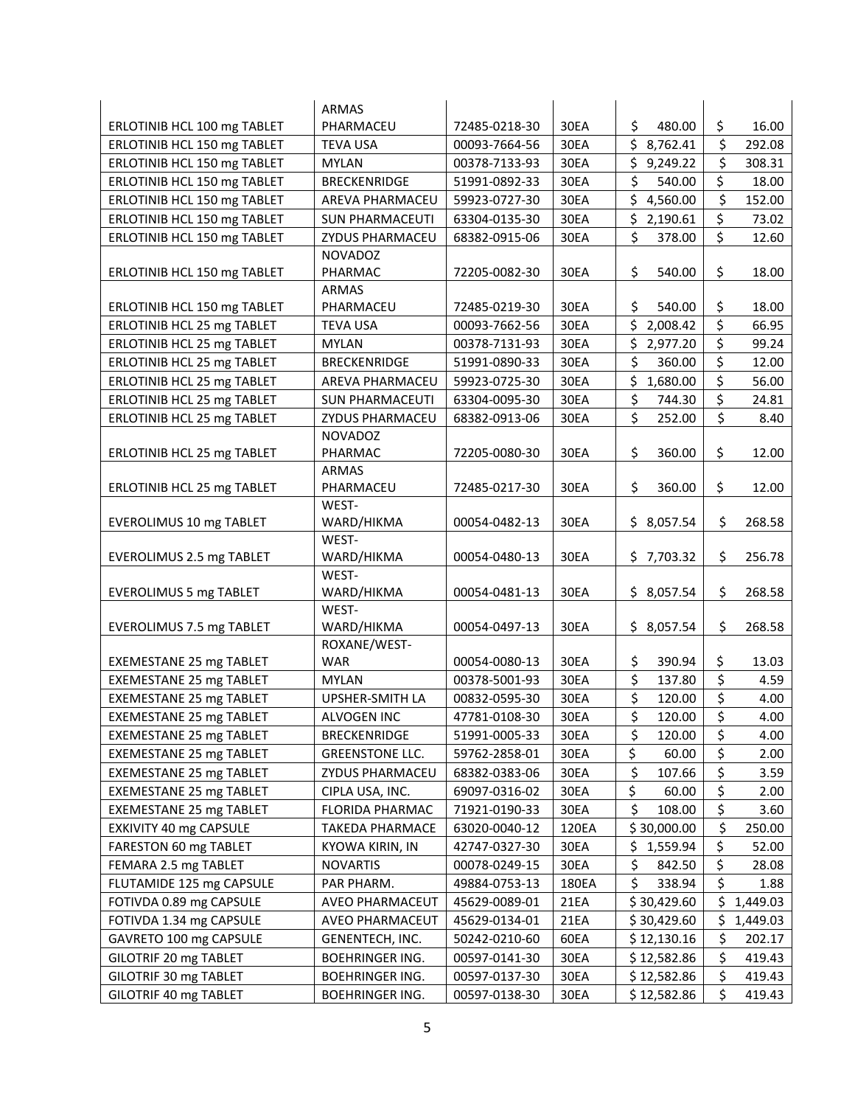|                                | ARMAS                  |                                |       |                            |                |
|--------------------------------|------------------------|--------------------------------|-------|----------------------------|----------------|
| ERLOTINIB HCL 100 mg TABLET    | PHARMACEU              | 72485-0218-30                  | 30EA  | \$<br>480.00               | \$<br>16.00    |
| ERLOTINIB HCL 150 mg TABLET    | <b>TEVA USA</b>        | 00093-7664-56                  | 30EA  | \$<br>8,762.41             | \$<br>292.08   |
| ERLOTINIB HCL 150 mg TABLET    | <b>MYLAN</b>           | 00378-7133-93                  | 30EA  | \$9,249.22                 | \$<br>308.31   |
| ERLOTINIB HCL 150 mg TABLET    | <b>BRECKENRIDGE</b>    | 51991-0892-33                  | 30EA  | \$<br>540.00               | \$<br>18.00    |
| ERLOTINIB HCL 150 mg TABLET    | AREVA PHARMACEU        | 59923-0727-30                  | 30EA  | \$<br>4,560.00             | \$<br>152.00   |
| ERLOTINIB HCL 150 mg TABLET    | <b>SUN PHARMACEUTI</b> | 63304-0135-30                  | 30EA  | \$<br>2,190.61             | \$<br>73.02    |
| ERLOTINIB HCL 150 mg TABLET    | ZYDUS PHARMACEU        | 68382-0915-06                  | 30EA  | \$<br>378.00               | \$<br>12.60    |
|                                | <b>NOVADOZ</b>         |                                |       |                            |                |
| ERLOTINIB HCL 150 mg TABLET    | PHARMAC                | 72205-0082-30                  | 30EA  | \$<br>540.00               | \$<br>18.00    |
|                                | <b>ARMAS</b>           |                                |       |                            |                |
| ERLOTINIB HCL 150 mg TABLET    | PHARMACEU              | 72485-0219-30                  | 30EA  | \$<br>540.00               | \$<br>18.00    |
| ERLOTINIB HCL 25 mg TABLET     | <b>TEVA USA</b>        | 00093-7662-56                  | 30EA  | \$2,008.42                 | \$<br>66.95    |
| ERLOTINIB HCL 25 mg TABLET     | <b>MYLAN</b>           | 00378-7131-93                  | 30EA  | \$<br>2,977.20             | \$<br>99.24    |
| ERLOTINIB HCL 25 mg TABLET     | <b>BRECKENRIDGE</b>    | 51991-0890-33                  | 30EA  | \$<br>360.00               | \$<br>12.00    |
| ERLOTINIB HCL 25 mg TABLET     | AREVA PHARMACEU        | 59923-0725-30                  | 30EA  | \$1,680.00                 | \$<br>56.00    |
| ERLOTINIB HCL 25 mg TABLET     | <b>SUN PHARMACEUTI</b> | 63304-0095-30                  | 30EA  | \$<br>744.30               | \$<br>24.81    |
| ERLOTINIB HCL 25 mg TABLET     | <b>ZYDUS PHARMACEU</b> | 68382-0913-06                  | 30EA  | \$<br>252.00               | \$<br>8.40     |
|                                | <b>NOVADOZ</b>         |                                |       |                            |                |
| ERLOTINIB HCL 25 mg TABLET     | PHARMAC                | 72205-0080-30                  | 30EA  | \$<br>360.00               | \$<br>12.00    |
|                                | <b>ARMAS</b>           |                                |       |                            |                |
| ERLOTINIB HCL 25 mg TABLET     | PHARMACEU              | 72485-0217-30                  | 30EA  | \$<br>360.00               | \$<br>12.00    |
|                                | WEST-                  |                                |       |                            |                |
| EVEROLIMUS 10 mg TABLET        | WARD/HIKMA             | 00054-0482-13                  | 30EA  | \$8,057.54                 | \$<br>268.58   |
|                                | WEST-                  |                                |       |                            |                |
| EVEROLIMUS 2.5 mg TABLET       | WARD/HIKMA             | 00054-0480-13                  | 30EA  | \$7,703.32                 | \$<br>256.78   |
|                                | WEST-                  |                                |       |                            |                |
| <b>EVEROLIMUS 5 mg TABLET</b>  | WARD/HIKMA<br>WEST-    | 00054-0481-13                  | 30EA  | \$8,057.54                 | \$<br>268.58   |
| EVEROLIMUS 7.5 mg TABLET       | WARD/HIKMA             | 00054-0497-13                  | 30EA  | \$8,057.54                 | \$<br>268.58   |
|                                | ROXANE/WEST-           |                                |       |                            |                |
| <b>EXEMESTANE 25 mg TABLET</b> | <b>WAR</b>             | 00054-0080-13                  | 30EA  | \$<br>390.94               | \$<br>13.03    |
| <b>EXEMESTANE 25 mg TABLET</b> | <b>MYLAN</b>           | 00378-5001-93                  | 30EA  | \$<br>137.80               | \$<br>4.59     |
| <b>EXEMESTANE 25 mg TABLET</b> | UPSHER-SMITH LA        | 00832-0595-30                  | 30EA  | \$<br>120.00               | \$<br>4.00     |
| <b>EXEMESTANE 25 mg TABLET</b> | ALVOGEN INC            | 47781-0108-30                  | 30EA  | $\overline{\xi}$<br>120.00 | \$<br>4.00     |
| <b>EXEMESTANE 25 mg TABLET</b> | <b>BRECKENRIDGE</b>    | 51991-0005-33                  | 30EA  | \$<br>120.00               | \$<br>4.00     |
| <b>EXEMESTANE 25 mg TABLET</b> | <b>GREENSTONE LLC.</b> | 59762-2858-01                  | 30EA  | \$<br>60.00                | \$<br>2.00     |
| <b>EXEMESTANE 25 mg TABLET</b> | ZYDUS PHARMACEU        | 68382-0383-06                  | 30EA  | \$<br>107.66               | \$<br>3.59     |
| <b>EXEMESTANE 25 mg TABLET</b> | CIPLA USA, INC.        | 69097-0316-02                  | 30EA  | \$<br>60.00                | \$<br>2.00     |
| <b>EXEMESTANE 25 mg TABLET</b> | <b>FLORIDA PHARMAC</b> | 71921-0190-33                  | 30EA  | \$<br>108.00               | \$<br>3.60     |
| EXKIVITY 40 mg CAPSULE         | <b>TAKEDA PHARMACE</b> | 63020-0040-12                  | 120EA | \$30,000.00                | \$<br>250.00   |
| FARESTON 60 mg TABLET          | KYOWA KIRIN, IN        | 42747-0327-30                  | 30EA  | \$<br>1,559.94             | \$<br>52.00    |
| FEMARA 2.5 mg TABLET           | <b>NOVARTIS</b>        | 00078-0249-15                  | 30EA  | \$<br>842.50               | \$<br>28.08    |
| FLUTAMIDE 125 mg CAPSULE       | PAR PHARM.             | 49884-0753-13                  | 180EA | \$<br>338.94               | \$<br>1.88     |
| FOTIVDA 0.89 mg CAPSULE        | AVEO PHARMACEUT        | 45629-0089-01                  | 21EA  | \$30,429.60                | \$<br>1,449.03 |
| FOTIVDA 1.34 mg CAPSULE        | AVEO PHARMACEUT        | 45629-0134-01                  | 21EA  | \$30,429.60                | \$<br>1,449.03 |
| GAVRETO 100 mg CAPSULE         | GENENTECH, INC.        | 50242-0210-60                  | 60EA  | \$ 12,130.16               | \$<br>202.17   |
| GILOTRIF 20 mg TABLET          |                        |                                | 30EA  | \$12,582.86                | \$<br>419.43   |
|                                | <b>BOEHRINGER ING.</b> | 00597-0141-30<br>00597-0137-30 | 30EA  | \$12,582.86                | \$<br>419.43   |
| GILOTRIF 30 mg TABLET          | <b>BOEHRINGER ING.</b> |                                |       |                            | \$             |
| GILOTRIF 40 mg TABLET          | <b>BOEHRINGER ING.</b> | 00597-0138-30                  | 30EA  | \$12,582.86                | 419.43         |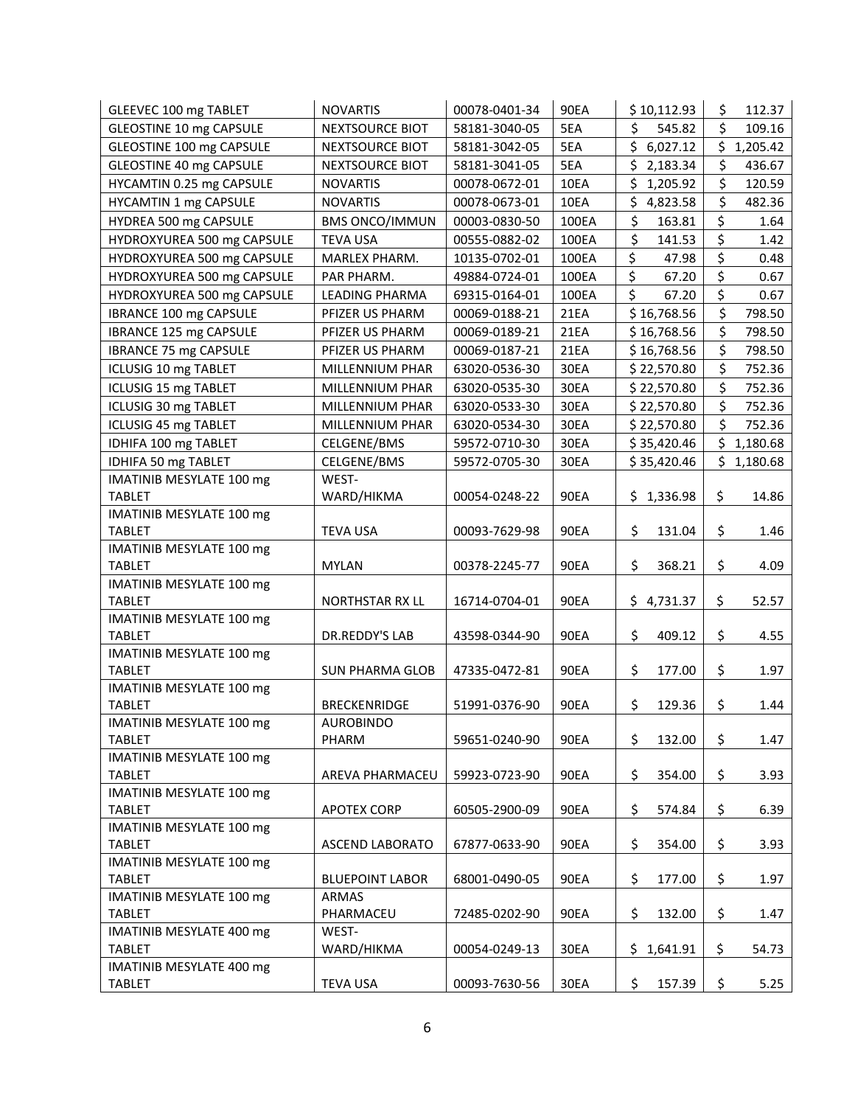| <b>GLEEVEC 100 mg TABLET</b>              | <b>NOVARTIS</b>        | 00078-0401-34 | <b>90EA</b> | \$10,112.93     | \$  | 112.37     |
|-------------------------------------------|------------------------|---------------|-------------|-----------------|-----|------------|
| GLEOSTINE 10 mg CAPSULE                   | NEXTSOURCE BIOT        | 58181-3040-05 | 5EA         | \$<br>545.82    | \$  | 109.16     |
| GLEOSTINE 100 mg CAPSULE                  | NEXTSOURCE BIOT        | 58181-3042-05 | 5EA         | \$6,027.12      |     | \$1,205.42 |
| GLEOSTINE 40 mg CAPSULE                   | NEXTSOURCE BIOT        | 58181-3041-05 | 5EA         | \$2,183.34      | \$  | 436.67     |
| HYCAMTIN 0.25 mg CAPSULE                  | <b>NOVARTIS</b>        | 00078-0672-01 | 10EA        | \$<br>1,205.92  | \$  | 120.59     |
| HYCAMTIN 1 mg CAPSULE                     | <b>NOVARTIS</b>        | 00078-0673-01 | 10EA        | \$<br>4,823.58  | \$  | 482.36     |
| HYDREA 500 mg CAPSULE                     | <b>BMS ONCO/IMMUN</b>  | 00003-0830-50 | 100EA       | \$<br>163.81    | \$  | 1.64       |
| HYDROXYUREA 500 mg CAPSULE                | <b>TEVA USA</b>        | 00555-0882-02 | 100EA       | \$<br>141.53    | \$  | 1.42       |
| HYDROXYUREA 500 mg CAPSULE                | MARLEX PHARM.          | 10135-0702-01 | 100EA       | \$<br>47.98     | \$  | 0.48       |
| HYDROXYUREA 500 mg CAPSULE                | PAR PHARM.             | 49884-0724-01 | 100EA       | \$<br>67.20     | \$  | 0.67       |
| HYDROXYUREA 500 mg CAPSULE                | <b>LEADING PHARMA</b>  | 69315-0164-01 | 100EA       | \$<br>67.20     | \$  | 0.67       |
| IBRANCE 100 mg CAPSULE                    | PFIZER US PHARM        | 00069-0188-21 | 21EA        | \$16,768.56     | \$  | 798.50     |
| IBRANCE 125 mg CAPSULE                    | PFIZER US PHARM        | 00069-0189-21 | 21EA        | \$16,768.56     | \$  | 798.50     |
| <b>IBRANCE 75 mg CAPSULE</b>              | PFIZER US PHARM        | 00069-0187-21 | 21EA        | \$16,768.56     | \$  | 798.50     |
| ICLUSIG 10 mg TABLET                      | MILLENNIUM PHAR        | 63020-0536-30 | 30EA        | \$22,570.80     | \$  | 752.36     |
| ICLUSIG 15 mg TABLET                      | MILLENNIUM PHAR        | 63020-0535-30 | 30EA        | \$22,570.80     | \$  | 752.36     |
| ICLUSIG 30 mg TABLET                      | MILLENNIUM PHAR        | 63020-0533-30 | 30EA        | \$22,570.80     | \$  | 752.36     |
| ICLUSIG 45 mg TABLET                      | MILLENNIUM PHAR        | 63020-0534-30 | 30EA        | \$22,570.80     | \$  | 752.36     |
| IDHIFA 100 mg TABLET                      | CELGENE/BMS            | 59572-0710-30 | 30EA        | \$35,420.46     |     | \$1,180.68 |
| IDHIFA 50 mg TABLET                       | CELGENE/BMS            | 59572-0705-30 | 30EA        | \$35,420.46     | \$. | 1,180.68   |
| IMATINIB MESYLATE 100 mg                  | WEST-                  |               |             |                 |     |            |
| <b>TABLET</b>                             | WARD/HIKMA             | 00054-0248-22 | 90EA        | \$1,336.98      | \$  | 14.86      |
| IMATINIB MESYLATE 100 mg                  |                        |               |             |                 |     |            |
| <b>TABLET</b>                             | <b>TEVA USA</b>        | 00093-7629-98 | <b>90EA</b> | \$<br>131.04    | \$  | 1.46       |
| IMATINIB MESYLATE 100 mg                  |                        |               |             |                 |     |            |
| <b>TABLET</b>                             | <b>MYLAN</b>           | 00378-2245-77 | <b>90EA</b> | \$<br>368.21    | \$  | 4.09       |
| IMATINIB MESYLATE 100 mg                  |                        |               |             |                 |     |            |
| <b>TABLET</b>                             | NORTHSTAR RX LL        | 16714-0704-01 | <b>90EA</b> | \$4,731.37      | \$  | 52.57      |
| IMATINIB MESYLATE 100 mg                  |                        |               |             |                 |     |            |
| <b>TABLET</b>                             | DR.REDDY'S LAB         | 43598-0344-90 | <b>90EA</b> | \$<br>409.12    | \$  | 4.55       |
| IMATINIB MESYLATE 100 mg                  |                        |               |             |                 |     |            |
| <b>TABLET</b>                             | <b>SUN PHARMA GLOB</b> | 47335-0472-81 | 90EA        | \$<br>177.00    | \$  | 1.97       |
| <b>IMATINIB MESYLATE 100 mg</b>           |                        |               |             |                 |     |            |
| <b>TABLET</b>                             | <b>BRECKENRIDGE</b>    | 51991-0376-90 | <b>90EA</b> | \$<br>129.36    | \$  | 1.44       |
| IMATINIB MESYLATE 100 mg                  | <b>AUROBINDO</b>       |               |             |                 |     |            |
| <b>TABLET</b>                             | PHARM                  | 59651-0240-90 | 90EA        | \$<br>132.00    | \$  | 1.47       |
| IMATINIB MESYLATE 100 mg                  |                        |               |             |                 |     |            |
| <b>TABLET</b>                             | AREVA PHARMACEU        | 59923-0723-90 | 90EA        | \$<br>354.00    | \$  | 3.93       |
| IMATINIB MESYLATE 100 mg<br><b>TABLET</b> | APOTEX CORP            | 60505-2900-09 | 90EA        | \$<br>574.84    | \$  | 6.39       |
| <b>IMATINIB MESYLATE 100 mg</b>           |                        |               |             |                 |     |            |
| <b>TABLET</b>                             | <b>ASCEND LABORATO</b> | 67877-0633-90 | 90EA        | \$<br>354.00    | \$  | 3.93       |
| IMATINIB MESYLATE 100 mg                  |                        |               |             |                 |     |            |
| <b>TABLET</b>                             | <b>BLUEPOINT LABOR</b> | 68001-0490-05 | 90EA        | \$<br>177.00    | \$  | 1.97       |
| IMATINIB MESYLATE 100 mg                  | ARMAS                  |               |             |                 |     |            |
| <b>TABLET</b>                             | PHARMACEU              | 72485-0202-90 | 90EA        | \$<br>132.00    | \$  | 1.47       |
| IMATINIB MESYLATE 400 mg                  | WEST-                  |               |             |                 |     |            |
| <b>TABLET</b>                             | WARD/HIKMA             | 00054-0249-13 | 30EA        | 1,641.91<br>\$. | \$  | 54.73      |
| IMATINIB MESYLATE 400 mg                  |                        |               |             |                 |     |            |
| <b>TABLET</b>                             | <b>TEVA USA</b>        | 00093-7630-56 | 30EA        | \$<br>157.39    | \$  | 5.25       |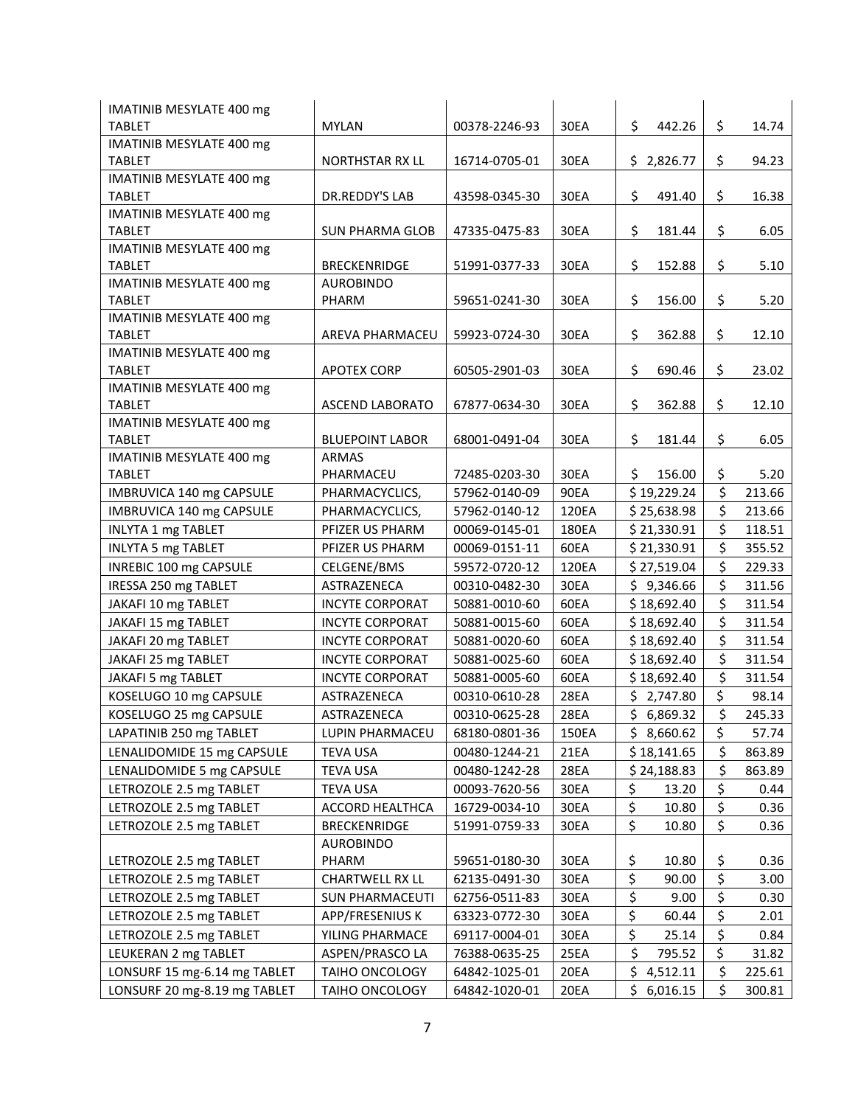| <b>IMATINIB MESYLATE 400 mg</b>                  |                        |               |             |                |              |
|--------------------------------------------------|------------------------|---------------|-------------|----------------|--------------|
| <b>TABLET</b>                                    | <b>MYLAN</b>           | 00378-2246-93 | 30EA        | \$<br>442.26   | \$<br>14.74  |
| <b>IMATINIB MESYLATE 400 mg</b>                  |                        |               |             |                |              |
| <b>TABLET</b>                                    | NORTHSTAR RX LL        | 16714-0705-01 | 30EA        | \$2,826.77     | \$<br>94.23  |
| IMATINIB MESYLATE 400 mg                         |                        |               |             |                |              |
| <b>TABLET</b>                                    | DR.REDDY'S LAB         | 43598-0345-30 | 30EA        | \$<br>491.40   | \$<br>16.38  |
| IMATINIB MESYLATE 400 mg                         |                        |               |             | \$             | \$           |
| <b>TABLET</b><br><b>IMATINIB MESYLATE 400 mg</b> | <b>SUN PHARMA GLOB</b> | 47335-0475-83 | 30EA        | 181.44         | 6.05         |
| <b>TABLET</b>                                    | <b>BRECKENRIDGE</b>    | 51991-0377-33 | 30EA        | \$<br>152.88   | \$<br>5.10   |
| IMATINIB MESYLATE 400 mg                         | <b>AUROBINDO</b>       |               |             |                |              |
| <b>TABLET</b>                                    | PHARM                  | 59651-0241-30 | 30EA        | \$<br>156.00   | \$<br>5.20   |
| IMATINIB MESYLATE 400 mg                         |                        |               |             |                |              |
| <b>TABLET</b>                                    | AREVA PHARMACEU        | 59923-0724-30 | 30EA        | \$<br>362.88   | \$<br>12.10  |
| IMATINIB MESYLATE 400 mg                         |                        |               |             |                |              |
| <b>TABLET</b>                                    | <b>APOTEX CORP</b>     | 60505-2901-03 | 30EA        | \$<br>690.46   | \$<br>23.02  |
| <b>IMATINIB MESYLATE 400 mg</b>                  |                        |               |             |                |              |
| <b>TABLET</b>                                    | <b>ASCEND LABORATO</b> | 67877-0634-30 | 30EA        | \$<br>362.88   | \$<br>12.10  |
| IMATINIB MESYLATE 400 mg                         |                        |               |             |                |              |
| <b>TABLET</b>                                    | <b>BLUEPOINT LABOR</b> | 68001-0491-04 | 30EA        | \$<br>181.44   | \$<br>6.05   |
| IMATINIB MESYLATE 400 mg                         | <b>ARMAS</b>           |               |             |                |              |
| <b>TABLET</b>                                    | PHARMACEU              | 72485-0203-30 | 30EA        | \$.<br>156.00  | \$<br>5.20   |
| IMBRUVICA 140 mg CAPSULE                         | PHARMACYCLICS,         | 57962-0140-09 | 90EA        | \$19,229.24    | \$<br>213.66 |
| IMBRUVICA 140 mg CAPSULE                         | PHARMACYCLICS,         | 57962-0140-12 | 120EA       | \$25,638.98    | \$<br>213.66 |
| <b>INLYTA 1 mg TABLET</b>                        | PFIZER US PHARM        | 00069-0145-01 | 180EA       | \$21,330.91    | \$<br>118.51 |
| <b>INLYTA 5 mg TABLET</b>                        | PFIZER US PHARM        | 00069-0151-11 | 60EA        | \$21,330.91    | \$<br>355.52 |
| INREBIC 100 mg CAPSULE                           | CELGENE/BMS            | 59572-0720-12 | 120EA       | \$27,519.04    | \$<br>229.33 |
| IRESSA 250 mg TABLET                             | ASTRAZENECA            | 00310-0482-30 | 30EA        | \$9,346.66     | \$<br>311.56 |
| JAKAFI 10 mg TABLET                              | <b>INCYTE CORPORAT</b> | 50881-0010-60 | 60EA        | \$18,692.40    | \$<br>311.54 |
| JAKAFI 15 mg TABLET                              | <b>INCYTE CORPORAT</b> | 50881-0015-60 | 60EA        | \$18,692.40    | \$<br>311.54 |
| JAKAFI 20 mg TABLET                              | <b>INCYTE CORPORAT</b> | 50881-0020-60 | 60EA        | \$18,692.40    | \$<br>311.54 |
| JAKAFI 25 mg TABLET                              | <b>INCYTE CORPORAT</b> | 50881-0025-60 | 60EA        | \$18,692.40    | \$<br>311.54 |
| JAKAFI 5 mg TABLET                               | <b>INCYTE CORPORAT</b> | 50881-0005-60 | 60EA        | \$18,692.40    | \$<br>311.54 |
| KOSELUGO 10 mg CAPSULE                           | ASTRAZENECA            | 00310-0610-28 | <b>28EA</b> | \$2,747.80     | \$<br>98.14  |
| KOSELUGO 25 mg CAPSULE                           | ASTRAZENECA            | 00310-0625-28 | 28EA        | \$6,869.32     | \$<br>245.33 |
| LAPATINIB 250 mg TABLET                          | LUPIN PHARMACEU        | 68180-0801-36 | 150EA       | \$8,660.62     | \$<br>57.74  |
| LENALIDOMIDE 15 mg CAPSULE                       | <b>TEVA USA</b>        | 00480-1244-21 | 21EA        | \$18,141.65    | \$<br>863.89 |
| LENALIDOMIDE 5 mg CAPSULE                        | <b>TEVA USA</b>        | 00480-1242-28 | 28EA        | \$24,188.83    | \$<br>863.89 |
| LETROZOLE 2.5 mg TABLET                          | TEVA USA               | 00093-7620-56 | 30EA        | \$<br>13.20    | \$<br>0.44   |
| LETROZOLE 2.5 mg TABLET                          | <b>ACCORD HEALTHCA</b> | 16729-0034-10 | 30EA        | \$<br>10.80    | \$<br>0.36   |
| LETROZOLE 2.5 mg TABLET                          | <b>BRECKENRIDGE</b>    | 51991-0759-33 | 30EA        | \$<br>10.80    | \$<br>0.36   |
|                                                  | <b>AUROBINDO</b>       |               |             |                |              |
| LETROZOLE 2.5 mg TABLET                          | PHARM                  | 59651-0180-30 | 30EA        | \$<br>10.80    | \$<br>0.36   |
| LETROZOLE 2.5 mg TABLET                          | <b>CHARTWELL RX LL</b> | 62135-0491-30 | 30EA        | \$<br>90.00    | \$<br>3.00   |
| LETROZOLE 2.5 mg TABLET                          | SUN PHARMACEUTI        | 62756-0511-83 | 30EA        | \$<br>9.00     | \$<br>0.30   |
| LETROZOLE 2.5 mg TABLET                          | APP/FRESENIUS K        | 63323-0772-30 | 30EA        | \$<br>60.44    | \$<br>2.01   |
| LETROZOLE 2.5 mg TABLET                          | YILING PHARMACE        | 69117-0004-01 | 30EA        | \$<br>25.14    | \$<br>0.84   |
| LEUKERAN 2 mg TABLET                             | ASPEN/PRASCO LA        | 76388-0635-25 | 25EA        | \$<br>795.52   | \$<br>31.82  |
| LONSURF 15 mg-6.14 mg TABLET                     | <b>TAIHO ONCOLOGY</b>  | 64842-1025-01 | 20EA        | \$<br>4,512.11 | \$<br>225.61 |
| LONSURF 20 mg-8.19 mg TABLET                     | TAIHO ONCOLOGY         | 64842-1020-01 | 20EA        | \$<br>6,016.15 | \$<br>300.81 |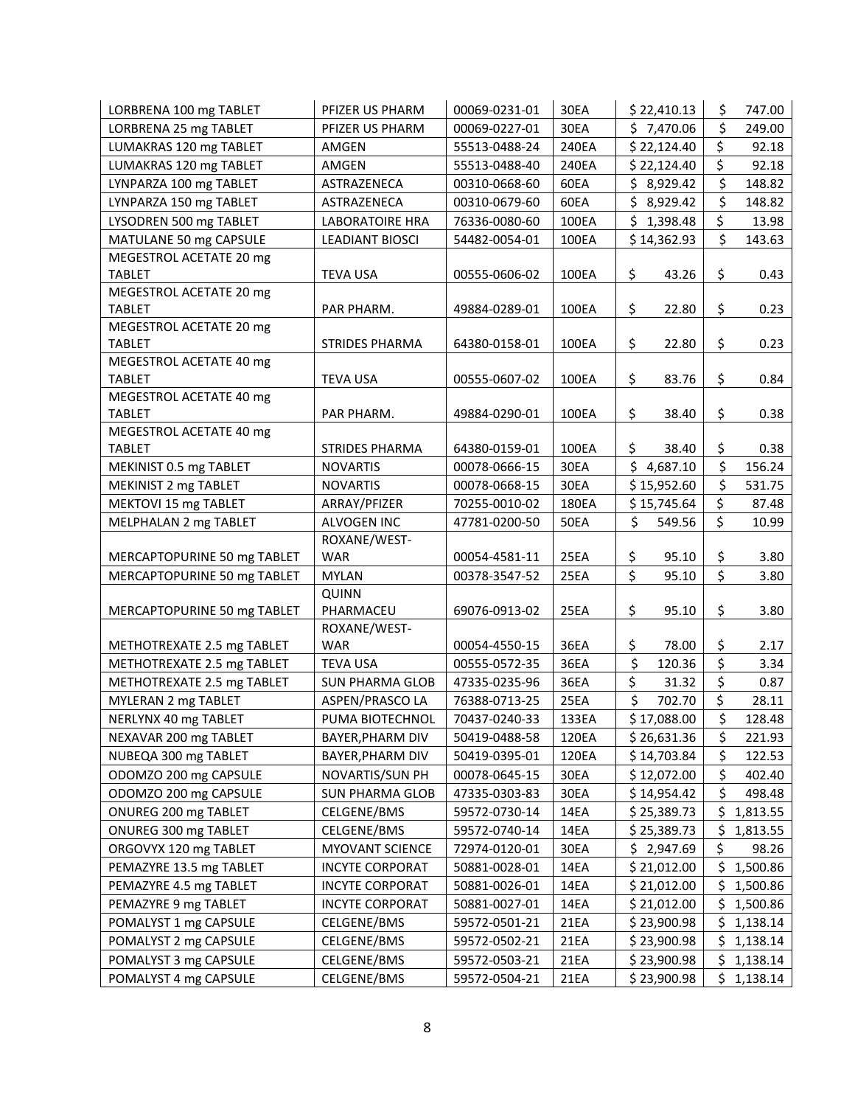| \$<br>\$7,470.06<br>LORBRENA 25 mg TABLET<br>30EA<br>249.00<br>PFIZER US PHARM<br>00069-0227-01<br>\$<br>LUMAKRAS 120 mg TABLET<br>240EA<br>\$22,124.40<br>92.18<br>AMGEN<br>55513-0488-24<br>\$<br>LUMAKRAS 120 mg TABLET<br>\$22,124.40<br>92.18<br>55513-0488-40<br>240EA<br>AMGEN<br>\$<br>\$8,929.42<br>LYNPARZA 100 mg TABLET<br>ASTRAZENECA<br>60EA<br>148.82<br>00310-0668-60<br>\$<br>LYNPARZA 150 mg TABLET<br>148.82<br>ASTRAZENECA<br>00310-0679-60<br>60EA<br>\$8,929.42<br>\$<br>LYSODREN 500 mg TABLET<br><b>LABORATOIRE HRA</b><br>76336-0080-60<br>100EA<br>\$1,398.48<br>13.98<br>\$<br>MATULANE 50 mg CAPSULE<br>\$14,362.93<br>143.63<br><b>LEADIANT BIOSCI</b><br>100EA<br>54482-0054-01<br>MEGESTROL ACETATE 20 mg<br>\$<br>\$<br><b>TABLET</b><br>00555-0606-02<br>43.26<br>0.43<br><b>TEVA USA</b><br>100EA<br>MEGESTROL ACETATE 20 mg<br>\$<br>\$<br><b>TABLET</b><br>49884-0289-01<br>100EA<br>22.80<br>0.23<br>PAR PHARM.<br>MEGESTROL ACETATE 20 mg<br>\$<br>\$<br><b>TABLET</b><br><b>STRIDES PHARMA</b><br>64380-0158-01<br>100EA<br>0.23<br>22.80<br>MEGESTROL ACETATE 40 mg<br>\$<br>\$<br><b>TABLET</b><br><b>TEVA USA</b><br>00555-0607-02<br>100EA<br>83.76<br>0.84<br>MEGESTROL ACETATE 40 mg<br>\$<br>\$<br><b>TABLET</b><br>49884-0290-01<br>100EA<br>38.40<br>0.38<br>PAR PHARM.<br>MEGESTROL ACETATE 40 mg<br>\$<br>38.40<br>\$<br><b>TABLET</b><br><b>STRIDES PHARMA</b><br>64380-0159-01<br>100EA<br>0.38<br>\$<br>\$4,687.10<br>156.24<br>MEKINIST 0.5 mg TABLET<br><b>NOVARTIS</b><br>00078-0666-15<br>30EA<br>\$<br>MEKINIST 2 mg TABLET<br>30EA<br>\$15,952.60<br>531.75<br><b>NOVARTIS</b><br>00078-0668-15<br>\$<br>MEKTOVI 15 mg TABLET<br>\$15,745.64<br>ARRAY/PFIZER<br>70255-0010-02<br>180EA<br>87.48<br>\$<br>\$<br>MELPHALAN 2 mg TABLET<br>ALVOGEN INC<br>47781-0200-50<br><b>50EA</b><br>549.56<br>10.99<br>ROXANE/WEST-<br>\$<br>\$<br>MERCAPTOPURINE 50 mg TABLET<br>25EA<br>3.80<br><b>WAR</b><br>00054-4581-11<br>95.10<br>\$<br>$\zeta$<br>25EA<br>95.10<br>3.80<br>MERCAPTOPURINE 50 mg TABLET<br><b>MYLAN</b><br>00378-3547-52<br><b>QUINN</b><br>\$<br>\$<br>MERCAPTOPURINE 50 mg TABLET<br>PHARMACEU<br>69076-0913-02<br>25EA<br>95.10<br>3.80<br>ROXANE/WEST-<br>\$<br>\$<br>METHOTREXATE 2.5 mg TABLET<br><b>WAR</b><br>00054-4550-15<br>36EA<br>78.00<br>2.17<br>\$<br>\$<br>METHOTREXATE 2.5 mg TABLET<br>120.36<br>3.34<br><b>TEVA USA</b><br>00555-0572-35<br>36EA<br>\$<br>\$<br>31.32<br>METHOTREXATE 2.5 mg TABLET<br><b>SUN PHARMA GLOB</b><br>36EA<br>0.87<br>47335-0235-96<br>\$<br>\$<br>28.11<br>MYLERAN 2 mg TABLET<br>ASPEN/PRASCO LA<br>25EA<br>702.70<br>76388-0713-25<br>\$<br>\$17,088.00<br>128.48<br>NERLYNX 40 mg TABLET<br>PUMA BIOTECHNOL<br>70437-0240-33<br>133EA<br>\$<br>NEXAVAR 200 mg TABLET<br>120EA<br>\$26,631.36<br>221.93<br><b>BAYER, PHARM DIV</b><br>50419-0488-58<br>\$<br>NUBEQA 300 mg TABLET<br>120EA<br>\$14,703.84<br>122.53<br>BAYER, PHARM DIV<br>50419-0395-01<br>\$<br>ODOMZO 200 mg CAPSULE<br>30EA<br>\$12,072.00<br>402.40<br>NOVARTIS/SUN PH<br>00078-0645-15<br>\$<br>ODOMZO 200 mg CAPSULE<br>30EA<br>\$14,954.42<br>498.48<br>SUN PHARMA GLOB<br>47335-0303-83<br>\$<br>14EA<br>\$25,389.73<br>ONUREG 200 mg TABLET<br>CELGENE/BMS<br>59572-0730-14<br>1,813.55<br>14EA<br>\$<br>ONUREG 300 mg TABLET<br>CELGENE/BMS<br>59572-0740-14<br>\$ 25,389.73<br>1,813.55<br>\$<br><b>MYOVANT SCIENCE</b><br>72974-0120-01<br>30EA<br>\$2,947.69<br>98.26<br>ORGOVYX 120 mg TABLET<br><b>INCYTE CORPORAT</b><br>50881-0028-01<br>14EA<br>\$21,012.00<br>\$<br>1,500.86<br>PEMAZYRE 13.5 mg TABLET<br>14EA<br>\$21,012.00<br>\$<br>1,500.86<br>PEMAZYRE 4.5 mg TABLET<br><b>INCYTE CORPORAT</b><br>50881-0026-01<br>\$21,012.00<br>PEMAZYRE 9 mg TABLET<br><b>INCYTE CORPORAT</b><br>50881-0027-01<br>14EA<br>\$1,500.86<br>21EA<br>\$23,900.98<br>\$<br>POMALYST 1 mg CAPSULE<br>CELGENE/BMS<br>59572-0501-21<br>1,138.14<br>59572-0502-21<br>21EA<br>\$23,900.98<br>\$<br>POMALYST 2 mg CAPSULE<br>CELGENE/BMS<br>1,138.14<br>CELGENE/BMS<br>21EA<br>\$23,900.98<br>\$.<br>POMALYST 3 mg CAPSULE<br>59572-0503-21<br>1,138.14<br>POMALYST 4 mg CAPSULE<br>59572-0504-21<br>21EA<br>\$23,900.98<br>1,138.14 | LORBRENA 100 mg TABLET | PFIZER US PHARM | 00069-0231-01 | 30EA | \$22,410.13 | \$<br>747.00 |
|-------------------------------------------------------------------------------------------------------------------------------------------------------------------------------------------------------------------------------------------------------------------------------------------------------------------------------------------------------------------------------------------------------------------------------------------------------------------------------------------------------------------------------------------------------------------------------------------------------------------------------------------------------------------------------------------------------------------------------------------------------------------------------------------------------------------------------------------------------------------------------------------------------------------------------------------------------------------------------------------------------------------------------------------------------------------------------------------------------------------------------------------------------------------------------------------------------------------------------------------------------------------------------------------------------------------------------------------------------------------------------------------------------------------------------------------------------------------------------------------------------------------------------------------------------------------------------------------------------------------------------------------------------------------------------------------------------------------------------------------------------------------------------------------------------------------------------------------------------------------------------------------------------------------------------------------------------------------------------------------------------------------------------------------------------------------------------------------------------------------------------------------------------------------------------------------------------------------------------------------------------------------------------------------------------------------------------------------------------------------------------------------------------------------------------------------------------------------------------------------------------------------------------------------------------------------------------------------------------------------------------------------------------------------------------------------------------------------------------------------------------------------------------------------------------------------------------------------------------------------------------------------------------------------------------------------------------------------------------------------------------------------------------------------------------------------------------------------------------------------------------------------------------------------------------------------------------------------------------------------------------------------------------------------------------------------------------------------------------------------------------------------------------------------------------------------------------------------------------------------------------------------------------------------------------------------------------------------------------------------------------------------------------------------------------------------------------------------------------------------------------------------------------------------------------------------------------------------------------------------------------------------------------------------------------------------------------------------------------------------------------------------------------------------------------------------------------------------------------------------------------------------------------------------------------------------------------------------------------|------------------------|-----------------|---------------|------|-------------|--------------|
|                                                                                                                                                                                                                                                                                                                                                                                                                                                                                                                                                                                                                                                                                                                                                                                                                                                                                                                                                                                                                                                                                                                                                                                                                                                                                                                                                                                                                                                                                                                                                                                                                                                                                                                                                                                                                                                                                                                                                                                                                                                                                                                                                                                                                                                                                                                                                                                                                                                                                                                                                                                                                                                                                                                                                                                                                                                                                                                                                                                                                                                                                                                                                                                                                                                                                                                                                                                                                                                                                                                                                                                                                                                                                                                                                                                                                                                                                                                                                                                                                                                                                                                                                                                                                               |                        |                 |               |      |             |              |
|                                                                                                                                                                                                                                                                                                                                                                                                                                                                                                                                                                                                                                                                                                                                                                                                                                                                                                                                                                                                                                                                                                                                                                                                                                                                                                                                                                                                                                                                                                                                                                                                                                                                                                                                                                                                                                                                                                                                                                                                                                                                                                                                                                                                                                                                                                                                                                                                                                                                                                                                                                                                                                                                                                                                                                                                                                                                                                                                                                                                                                                                                                                                                                                                                                                                                                                                                                                                                                                                                                                                                                                                                                                                                                                                                                                                                                                                                                                                                                                                                                                                                                                                                                                                                               |                        |                 |               |      |             |              |
|                                                                                                                                                                                                                                                                                                                                                                                                                                                                                                                                                                                                                                                                                                                                                                                                                                                                                                                                                                                                                                                                                                                                                                                                                                                                                                                                                                                                                                                                                                                                                                                                                                                                                                                                                                                                                                                                                                                                                                                                                                                                                                                                                                                                                                                                                                                                                                                                                                                                                                                                                                                                                                                                                                                                                                                                                                                                                                                                                                                                                                                                                                                                                                                                                                                                                                                                                                                                                                                                                                                                                                                                                                                                                                                                                                                                                                                                                                                                                                                                                                                                                                                                                                                                                               |                        |                 |               |      |             |              |
|                                                                                                                                                                                                                                                                                                                                                                                                                                                                                                                                                                                                                                                                                                                                                                                                                                                                                                                                                                                                                                                                                                                                                                                                                                                                                                                                                                                                                                                                                                                                                                                                                                                                                                                                                                                                                                                                                                                                                                                                                                                                                                                                                                                                                                                                                                                                                                                                                                                                                                                                                                                                                                                                                                                                                                                                                                                                                                                                                                                                                                                                                                                                                                                                                                                                                                                                                                                                                                                                                                                                                                                                                                                                                                                                                                                                                                                                                                                                                                                                                                                                                                                                                                                                                               |                        |                 |               |      |             |              |
|                                                                                                                                                                                                                                                                                                                                                                                                                                                                                                                                                                                                                                                                                                                                                                                                                                                                                                                                                                                                                                                                                                                                                                                                                                                                                                                                                                                                                                                                                                                                                                                                                                                                                                                                                                                                                                                                                                                                                                                                                                                                                                                                                                                                                                                                                                                                                                                                                                                                                                                                                                                                                                                                                                                                                                                                                                                                                                                                                                                                                                                                                                                                                                                                                                                                                                                                                                                                                                                                                                                                                                                                                                                                                                                                                                                                                                                                                                                                                                                                                                                                                                                                                                                                                               |                        |                 |               |      |             |              |
|                                                                                                                                                                                                                                                                                                                                                                                                                                                                                                                                                                                                                                                                                                                                                                                                                                                                                                                                                                                                                                                                                                                                                                                                                                                                                                                                                                                                                                                                                                                                                                                                                                                                                                                                                                                                                                                                                                                                                                                                                                                                                                                                                                                                                                                                                                                                                                                                                                                                                                                                                                                                                                                                                                                                                                                                                                                                                                                                                                                                                                                                                                                                                                                                                                                                                                                                                                                                                                                                                                                                                                                                                                                                                                                                                                                                                                                                                                                                                                                                                                                                                                                                                                                                                               |                        |                 |               |      |             |              |
|                                                                                                                                                                                                                                                                                                                                                                                                                                                                                                                                                                                                                                                                                                                                                                                                                                                                                                                                                                                                                                                                                                                                                                                                                                                                                                                                                                                                                                                                                                                                                                                                                                                                                                                                                                                                                                                                                                                                                                                                                                                                                                                                                                                                                                                                                                                                                                                                                                                                                                                                                                                                                                                                                                                                                                                                                                                                                                                                                                                                                                                                                                                                                                                                                                                                                                                                                                                                                                                                                                                                                                                                                                                                                                                                                                                                                                                                                                                                                                                                                                                                                                                                                                                                                               |                        |                 |               |      |             |              |
|                                                                                                                                                                                                                                                                                                                                                                                                                                                                                                                                                                                                                                                                                                                                                                                                                                                                                                                                                                                                                                                                                                                                                                                                                                                                                                                                                                                                                                                                                                                                                                                                                                                                                                                                                                                                                                                                                                                                                                                                                                                                                                                                                                                                                                                                                                                                                                                                                                                                                                                                                                                                                                                                                                                                                                                                                                                                                                                                                                                                                                                                                                                                                                                                                                                                                                                                                                                                                                                                                                                                                                                                                                                                                                                                                                                                                                                                                                                                                                                                                                                                                                                                                                                                                               |                        |                 |               |      |             |              |
|                                                                                                                                                                                                                                                                                                                                                                                                                                                                                                                                                                                                                                                                                                                                                                                                                                                                                                                                                                                                                                                                                                                                                                                                                                                                                                                                                                                                                                                                                                                                                                                                                                                                                                                                                                                                                                                                                                                                                                                                                                                                                                                                                                                                                                                                                                                                                                                                                                                                                                                                                                                                                                                                                                                                                                                                                                                                                                                                                                                                                                                                                                                                                                                                                                                                                                                                                                                                                                                                                                                                                                                                                                                                                                                                                                                                                                                                                                                                                                                                                                                                                                                                                                                                                               |                        |                 |               |      |             |              |
|                                                                                                                                                                                                                                                                                                                                                                                                                                                                                                                                                                                                                                                                                                                                                                                                                                                                                                                                                                                                                                                                                                                                                                                                                                                                                                                                                                                                                                                                                                                                                                                                                                                                                                                                                                                                                                                                                                                                                                                                                                                                                                                                                                                                                                                                                                                                                                                                                                                                                                                                                                                                                                                                                                                                                                                                                                                                                                                                                                                                                                                                                                                                                                                                                                                                                                                                                                                                                                                                                                                                                                                                                                                                                                                                                                                                                                                                                                                                                                                                                                                                                                                                                                                                                               |                        |                 |               |      |             |              |
|                                                                                                                                                                                                                                                                                                                                                                                                                                                                                                                                                                                                                                                                                                                                                                                                                                                                                                                                                                                                                                                                                                                                                                                                                                                                                                                                                                                                                                                                                                                                                                                                                                                                                                                                                                                                                                                                                                                                                                                                                                                                                                                                                                                                                                                                                                                                                                                                                                                                                                                                                                                                                                                                                                                                                                                                                                                                                                                                                                                                                                                                                                                                                                                                                                                                                                                                                                                                                                                                                                                                                                                                                                                                                                                                                                                                                                                                                                                                                                                                                                                                                                                                                                                                                               |                        |                 |               |      |             |              |
|                                                                                                                                                                                                                                                                                                                                                                                                                                                                                                                                                                                                                                                                                                                                                                                                                                                                                                                                                                                                                                                                                                                                                                                                                                                                                                                                                                                                                                                                                                                                                                                                                                                                                                                                                                                                                                                                                                                                                                                                                                                                                                                                                                                                                                                                                                                                                                                                                                                                                                                                                                                                                                                                                                                                                                                                                                                                                                                                                                                                                                                                                                                                                                                                                                                                                                                                                                                                                                                                                                                                                                                                                                                                                                                                                                                                                                                                                                                                                                                                                                                                                                                                                                                                                               |                        |                 |               |      |             |              |
|                                                                                                                                                                                                                                                                                                                                                                                                                                                                                                                                                                                                                                                                                                                                                                                                                                                                                                                                                                                                                                                                                                                                                                                                                                                                                                                                                                                                                                                                                                                                                                                                                                                                                                                                                                                                                                                                                                                                                                                                                                                                                                                                                                                                                                                                                                                                                                                                                                                                                                                                                                                                                                                                                                                                                                                                                                                                                                                                                                                                                                                                                                                                                                                                                                                                                                                                                                                                                                                                                                                                                                                                                                                                                                                                                                                                                                                                                                                                                                                                                                                                                                                                                                                                                               |                        |                 |               |      |             |              |
|                                                                                                                                                                                                                                                                                                                                                                                                                                                                                                                                                                                                                                                                                                                                                                                                                                                                                                                                                                                                                                                                                                                                                                                                                                                                                                                                                                                                                                                                                                                                                                                                                                                                                                                                                                                                                                                                                                                                                                                                                                                                                                                                                                                                                                                                                                                                                                                                                                                                                                                                                                                                                                                                                                                                                                                                                                                                                                                                                                                                                                                                                                                                                                                                                                                                                                                                                                                                                                                                                                                                                                                                                                                                                                                                                                                                                                                                                                                                                                                                                                                                                                                                                                                                                               |                        |                 |               |      |             |              |
|                                                                                                                                                                                                                                                                                                                                                                                                                                                                                                                                                                                                                                                                                                                                                                                                                                                                                                                                                                                                                                                                                                                                                                                                                                                                                                                                                                                                                                                                                                                                                                                                                                                                                                                                                                                                                                                                                                                                                                                                                                                                                                                                                                                                                                                                                                                                                                                                                                                                                                                                                                                                                                                                                                                                                                                                                                                                                                                                                                                                                                                                                                                                                                                                                                                                                                                                                                                                                                                                                                                                                                                                                                                                                                                                                                                                                                                                                                                                                                                                                                                                                                                                                                                                                               |                        |                 |               |      |             |              |
|                                                                                                                                                                                                                                                                                                                                                                                                                                                                                                                                                                                                                                                                                                                                                                                                                                                                                                                                                                                                                                                                                                                                                                                                                                                                                                                                                                                                                                                                                                                                                                                                                                                                                                                                                                                                                                                                                                                                                                                                                                                                                                                                                                                                                                                                                                                                                                                                                                                                                                                                                                                                                                                                                                                                                                                                                                                                                                                                                                                                                                                                                                                                                                                                                                                                                                                                                                                                                                                                                                                                                                                                                                                                                                                                                                                                                                                                                                                                                                                                                                                                                                                                                                                                                               |                        |                 |               |      |             |              |
|                                                                                                                                                                                                                                                                                                                                                                                                                                                                                                                                                                                                                                                                                                                                                                                                                                                                                                                                                                                                                                                                                                                                                                                                                                                                                                                                                                                                                                                                                                                                                                                                                                                                                                                                                                                                                                                                                                                                                                                                                                                                                                                                                                                                                                                                                                                                                                                                                                                                                                                                                                                                                                                                                                                                                                                                                                                                                                                                                                                                                                                                                                                                                                                                                                                                                                                                                                                                                                                                                                                                                                                                                                                                                                                                                                                                                                                                                                                                                                                                                                                                                                                                                                                                                               |                        |                 |               |      |             |              |
|                                                                                                                                                                                                                                                                                                                                                                                                                                                                                                                                                                                                                                                                                                                                                                                                                                                                                                                                                                                                                                                                                                                                                                                                                                                                                                                                                                                                                                                                                                                                                                                                                                                                                                                                                                                                                                                                                                                                                                                                                                                                                                                                                                                                                                                                                                                                                                                                                                                                                                                                                                                                                                                                                                                                                                                                                                                                                                                                                                                                                                                                                                                                                                                                                                                                                                                                                                                                                                                                                                                                                                                                                                                                                                                                                                                                                                                                                                                                                                                                                                                                                                                                                                                                                               |                        |                 |               |      |             |              |
|                                                                                                                                                                                                                                                                                                                                                                                                                                                                                                                                                                                                                                                                                                                                                                                                                                                                                                                                                                                                                                                                                                                                                                                                                                                                                                                                                                                                                                                                                                                                                                                                                                                                                                                                                                                                                                                                                                                                                                                                                                                                                                                                                                                                                                                                                                                                                                                                                                                                                                                                                                                                                                                                                                                                                                                                                                                                                                                                                                                                                                                                                                                                                                                                                                                                                                                                                                                                                                                                                                                                                                                                                                                                                                                                                                                                                                                                                                                                                                                                                                                                                                                                                                                                                               |                        |                 |               |      |             |              |
|                                                                                                                                                                                                                                                                                                                                                                                                                                                                                                                                                                                                                                                                                                                                                                                                                                                                                                                                                                                                                                                                                                                                                                                                                                                                                                                                                                                                                                                                                                                                                                                                                                                                                                                                                                                                                                                                                                                                                                                                                                                                                                                                                                                                                                                                                                                                                                                                                                                                                                                                                                                                                                                                                                                                                                                                                                                                                                                                                                                                                                                                                                                                                                                                                                                                                                                                                                                                                                                                                                                                                                                                                                                                                                                                                                                                                                                                                                                                                                                                                                                                                                                                                                                                                               |                        |                 |               |      |             |              |
|                                                                                                                                                                                                                                                                                                                                                                                                                                                                                                                                                                                                                                                                                                                                                                                                                                                                                                                                                                                                                                                                                                                                                                                                                                                                                                                                                                                                                                                                                                                                                                                                                                                                                                                                                                                                                                                                                                                                                                                                                                                                                                                                                                                                                                                                                                                                                                                                                                                                                                                                                                                                                                                                                                                                                                                                                                                                                                                                                                                                                                                                                                                                                                                                                                                                                                                                                                                                                                                                                                                                                                                                                                                                                                                                                                                                                                                                                                                                                                                                                                                                                                                                                                                                                               |                        |                 |               |      |             |              |
|                                                                                                                                                                                                                                                                                                                                                                                                                                                                                                                                                                                                                                                                                                                                                                                                                                                                                                                                                                                                                                                                                                                                                                                                                                                                                                                                                                                                                                                                                                                                                                                                                                                                                                                                                                                                                                                                                                                                                                                                                                                                                                                                                                                                                                                                                                                                                                                                                                                                                                                                                                                                                                                                                                                                                                                                                                                                                                                                                                                                                                                                                                                                                                                                                                                                                                                                                                                                                                                                                                                                                                                                                                                                                                                                                                                                                                                                                                                                                                                                                                                                                                                                                                                                                               |                        |                 |               |      |             |              |
|                                                                                                                                                                                                                                                                                                                                                                                                                                                                                                                                                                                                                                                                                                                                                                                                                                                                                                                                                                                                                                                                                                                                                                                                                                                                                                                                                                                                                                                                                                                                                                                                                                                                                                                                                                                                                                                                                                                                                                                                                                                                                                                                                                                                                                                                                                                                                                                                                                                                                                                                                                                                                                                                                                                                                                                                                                                                                                                                                                                                                                                                                                                                                                                                                                                                                                                                                                                                                                                                                                                                                                                                                                                                                                                                                                                                                                                                                                                                                                                                                                                                                                                                                                                                                               |                        |                 |               |      |             |              |
|                                                                                                                                                                                                                                                                                                                                                                                                                                                                                                                                                                                                                                                                                                                                                                                                                                                                                                                                                                                                                                                                                                                                                                                                                                                                                                                                                                                                                                                                                                                                                                                                                                                                                                                                                                                                                                                                                                                                                                                                                                                                                                                                                                                                                                                                                                                                                                                                                                                                                                                                                                                                                                                                                                                                                                                                                                                                                                                                                                                                                                                                                                                                                                                                                                                                                                                                                                                                                                                                                                                                                                                                                                                                                                                                                                                                                                                                                                                                                                                                                                                                                                                                                                                                                               |                        |                 |               |      |             |              |
|                                                                                                                                                                                                                                                                                                                                                                                                                                                                                                                                                                                                                                                                                                                                                                                                                                                                                                                                                                                                                                                                                                                                                                                                                                                                                                                                                                                                                                                                                                                                                                                                                                                                                                                                                                                                                                                                                                                                                                                                                                                                                                                                                                                                                                                                                                                                                                                                                                                                                                                                                                                                                                                                                                                                                                                                                                                                                                                                                                                                                                                                                                                                                                                                                                                                                                                                                                                                                                                                                                                                                                                                                                                                                                                                                                                                                                                                                                                                                                                                                                                                                                                                                                                                                               |                        |                 |               |      |             |              |
|                                                                                                                                                                                                                                                                                                                                                                                                                                                                                                                                                                                                                                                                                                                                                                                                                                                                                                                                                                                                                                                                                                                                                                                                                                                                                                                                                                                                                                                                                                                                                                                                                                                                                                                                                                                                                                                                                                                                                                                                                                                                                                                                                                                                                                                                                                                                                                                                                                                                                                                                                                                                                                                                                                                                                                                                                                                                                                                                                                                                                                                                                                                                                                                                                                                                                                                                                                                                                                                                                                                                                                                                                                                                                                                                                                                                                                                                                                                                                                                                                                                                                                                                                                                                                               |                        |                 |               |      |             |              |
|                                                                                                                                                                                                                                                                                                                                                                                                                                                                                                                                                                                                                                                                                                                                                                                                                                                                                                                                                                                                                                                                                                                                                                                                                                                                                                                                                                                                                                                                                                                                                                                                                                                                                                                                                                                                                                                                                                                                                                                                                                                                                                                                                                                                                                                                                                                                                                                                                                                                                                                                                                                                                                                                                                                                                                                                                                                                                                                                                                                                                                                                                                                                                                                                                                                                                                                                                                                                                                                                                                                                                                                                                                                                                                                                                                                                                                                                                                                                                                                                                                                                                                                                                                                                                               |                        |                 |               |      |             |              |
|                                                                                                                                                                                                                                                                                                                                                                                                                                                                                                                                                                                                                                                                                                                                                                                                                                                                                                                                                                                                                                                                                                                                                                                                                                                                                                                                                                                                                                                                                                                                                                                                                                                                                                                                                                                                                                                                                                                                                                                                                                                                                                                                                                                                                                                                                                                                                                                                                                                                                                                                                                                                                                                                                                                                                                                                                                                                                                                                                                                                                                                                                                                                                                                                                                                                                                                                                                                                                                                                                                                                                                                                                                                                                                                                                                                                                                                                                                                                                                                                                                                                                                                                                                                                                               |                        |                 |               |      |             |              |
|                                                                                                                                                                                                                                                                                                                                                                                                                                                                                                                                                                                                                                                                                                                                                                                                                                                                                                                                                                                                                                                                                                                                                                                                                                                                                                                                                                                                                                                                                                                                                                                                                                                                                                                                                                                                                                                                                                                                                                                                                                                                                                                                                                                                                                                                                                                                                                                                                                                                                                                                                                                                                                                                                                                                                                                                                                                                                                                                                                                                                                                                                                                                                                                                                                                                                                                                                                                                                                                                                                                                                                                                                                                                                                                                                                                                                                                                                                                                                                                                                                                                                                                                                                                                                               |                        |                 |               |      |             |              |
|                                                                                                                                                                                                                                                                                                                                                                                                                                                                                                                                                                                                                                                                                                                                                                                                                                                                                                                                                                                                                                                                                                                                                                                                                                                                                                                                                                                                                                                                                                                                                                                                                                                                                                                                                                                                                                                                                                                                                                                                                                                                                                                                                                                                                                                                                                                                                                                                                                                                                                                                                                                                                                                                                                                                                                                                                                                                                                                                                                                                                                                                                                                                                                                                                                                                                                                                                                                                                                                                                                                                                                                                                                                                                                                                                                                                                                                                                                                                                                                                                                                                                                                                                                                                                               |                        |                 |               |      |             |              |
|                                                                                                                                                                                                                                                                                                                                                                                                                                                                                                                                                                                                                                                                                                                                                                                                                                                                                                                                                                                                                                                                                                                                                                                                                                                                                                                                                                                                                                                                                                                                                                                                                                                                                                                                                                                                                                                                                                                                                                                                                                                                                                                                                                                                                                                                                                                                                                                                                                                                                                                                                                                                                                                                                                                                                                                                                                                                                                                                                                                                                                                                                                                                                                                                                                                                                                                                                                                                                                                                                                                                                                                                                                                                                                                                                                                                                                                                                                                                                                                                                                                                                                                                                                                                                               |                        |                 |               |      |             |              |
|                                                                                                                                                                                                                                                                                                                                                                                                                                                                                                                                                                                                                                                                                                                                                                                                                                                                                                                                                                                                                                                                                                                                                                                                                                                                                                                                                                                                                                                                                                                                                                                                                                                                                                                                                                                                                                                                                                                                                                                                                                                                                                                                                                                                                                                                                                                                                                                                                                                                                                                                                                                                                                                                                                                                                                                                                                                                                                                                                                                                                                                                                                                                                                                                                                                                                                                                                                                                                                                                                                                                                                                                                                                                                                                                                                                                                                                                                                                                                                                                                                                                                                                                                                                                                               |                        |                 |               |      |             |              |
|                                                                                                                                                                                                                                                                                                                                                                                                                                                                                                                                                                                                                                                                                                                                                                                                                                                                                                                                                                                                                                                                                                                                                                                                                                                                                                                                                                                                                                                                                                                                                                                                                                                                                                                                                                                                                                                                                                                                                                                                                                                                                                                                                                                                                                                                                                                                                                                                                                                                                                                                                                                                                                                                                                                                                                                                                                                                                                                                                                                                                                                                                                                                                                                                                                                                                                                                                                                                                                                                                                                                                                                                                                                                                                                                                                                                                                                                                                                                                                                                                                                                                                                                                                                                                               |                        |                 |               |      |             |              |
|                                                                                                                                                                                                                                                                                                                                                                                                                                                                                                                                                                                                                                                                                                                                                                                                                                                                                                                                                                                                                                                                                                                                                                                                                                                                                                                                                                                                                                                                                                                                                                                                                                                                                                                                                                                                                                                                                                                                                                                                                                                                                                                                                                                                                                                                                                                                                                                                                                                                                                                                                                                                                                                                                                                                                                                                                                                                                                                                                                                                                                                                                                                                                                                                                                                                                                                                                                                                                                                                                                                                                                                                                                                                                                                                                                                                                                                                                                                                                                                                                                                                                                                                                                                                                               |                        |                 |               |      |             |              |
|                                                                                                                                                                                                                                                                                                                                                                                                                                                                                                                                                                                                                                                                                                                                                                                                                                                                                                                                                                                                                                                                                                                                                                                                                                                                                                                                                                                                                                                                                                                                                                                                                                                                                                                                                                                                                                                                                                                                                                                                                                                                                                                                                                                                                                                                                                                                                                                                                                                                                                                                                                                                                                                                                                                                                                                                                                                                                                                                                                                                                                                                                                                                                                                                                                                                                                                                                                                                                                                                                                                                                                                                                                                                                                                                                                                                                                                                                                                                                                                                                                                                                                                                                                                                                               |                        |                 |               |      |             |              |
|                                                                                                                                                                                                                                                                                                                                                                                                                                                                                                                                                                                                                                                                                                                                                                                                                                                                                                                                                                                                                                                                                                                                                                                                                                                                                                                                                                                                                                                                                                                                                                                                                                                                                                                                                                                                                                                                                                                                                                                                                                                                                                                                                                                                                                                                                                                                                                                                                                                                                                                                                                                                                                                                                                                                                                                                                                                                                                                                                                                                                                                                                                                                                                                                                                                                                                                                                                                                                                                                                                                                                                                                                                                                                                                                                                                                                                                                                                                                                                                                                                                                                                                                                                                                                               |                        |                 |               |      |             |              |
|                                                                                                                                                                                                                                                                                                                                                                                                                                                                                                                                                                                                                                                                                                                                                                                                                                                                                                                                                                                                                                                                                                                                                                                                                                                                                                                                                                                                                                                                                                                                                                                                                                                                                                                                                                                                                                                                                                                                                                                                                                                                                                                                                                                                                                                                                                                                                                                                                                                                                                                                                                                                                                                                                                                                                                                                                                                                                                                                                                                                                                                                                                                                                                                                                                                                                                                                                                                                                                                                                                                                                                                                                                                                                                                                                                                                                                                                                                                                                                                                                                                                                                                                                                                                                               |                        |                 |               |      |             |              |
|                                                                                                                                                                                                                                                                                                                                                                                                                                                                                                                                                                                                                                                                                                                                                                                                                                                                                                                                                                                                                                                                                                                                                                                                                                                                                                                                                                                                                                                                                                                                                                                                                                                                                                                                                                                                                                                                                                                                                                                                                                                                                                                                                                                                                                                                                                                                                                                                                                                                                                                                                                                                                                                                                                                                                                                                                                                                                                                                                                                                                                                                                                                                                                                                                                                                                                                                                                                                                                                                                                                                                                                                                                                                                                                                                                                                                                                                                                                                                                                                                                                                                                                                                                                                                               |                        |                 |               |      |             |              |
|                                                                                                                                                                                                                                                                                                                                                                                                                                                                                                                                                                                                                                                                                                                                                                                                                                                                                                                                                                                                                                                                                                                                                                                                                                                                                                                                                                                                                                                                                                                                                                                                                                                                                                                                                                                                                                                                                                                                                                                                                                                                                                                                                                                                                                                                                                                                                                                                                                                                                                                                                                                                                                                                                                                                                                                                                                                                                                                                                                                                                                                                                                                                                                                                                                                                                                                                                                                                                                                                                                                                                                                                                                                                                                                                                                                                                                                                                                                                                                                                                                                                                                                                                                                                                               |                        |                 |               |      |             |              |
|                                                                                                                                                                                                                                                                                                                                                                                                                                                                                                                                                                                                                                                                                                                                                                                                                                                                                                                                                                                                                                                                                                                                                                                                                                                                                                                                                                                                                                                                                                                                                                                                                                                                                                                                                                                                                                                                                                                                                                                                                                                                                                                                                                                                                                                                                                                                                                                                                                                                                                                                                                                                                                                                                                                                                                                                                                                                                                                                                                                                                                                                                                                                                                                                                                                                                                                                                                                                                                                                                                                                                                                                                                                                                                                                                                                                                                                                                                                                                                                                                                                                                                                                                                                                                               |                        |                 |               |      |             |              |
|                                                                                                                                                                                                                                                                                                                                                                                                                                                                                                                                                                                                                                                                                                                                                                                                                                                                                                                                                                                                                                                                                                                                                                                                                                                                                                                                                                                                                                                                                                                                                                                                                                                                                                                                                                                                                                                                                                                                                                                                                                                                                                                                                                                                                                                                                                                                                                                                                                                                                                                                                                                                                                                                                                                                                                                                                                                                                                                                                                                                                                                                                                                                                                                                                                                                                                                                                                                                                                                                                                                                                                                                                                                                                                                                                                                                                                                                                                                                                                                                                                                                                                                                                                                                                               |                        |                 |               |      |             |              |
|                                                                                                                                                                                                                                                                                                                                                                                                                                                                                                                                                                                                                                                                                                                                                                                                                                                                                                                                                                                                                                                                                                                                                                                                                                                                                                                                                                                                                                                                                                                                                                                                                                                                                                                                                                                                                                                                                                                                                                                                                                                                                                                                                                                                                                                                                                                                                                                                                                                                                                                                                                                                                                                                                                                                                                                                                                                                                                                                                                                                                                                                                                                                                                                                                                                                                                                                                                                                                                                                                                                                                                                                                                                                                                                                                                                                                                                                                                                                                                                                                                                                                                                                                                                                                               |                        |                 |               |      |             |              |
|                                                                                                                                                                                                                                                                                                                                                                                                                                                                                                                                                                                                                                                                                                                                                                                                                                                                                                                                                                                                                                                                                                                                                                                                                                                                                                                                                                                                                                                                                                                                                                                                                                                                                                                                                                                                                                                                                                                                                                                                                                                                                                                                                                                                                                                                                                                                                                                                                                                                                                                                                                                                                                                                                                                                                                                                                                                                                                                                                                                                                                                                                                                                                                                                                                                                                                                                                                                                                                                                                                                                                                                                                                                                                                                                                                                                                                                                                                                                                                                                                                                                                                                                                                                                                               |                        |                 |               |      |             |              |
|                                                                                                                                                                                                                                                                                                                                                                                                                                                                                                                                                                                                                                                                                                                                                                                                                                                                                                                                                                                                                                                                                                                                                                                                                                                                                                                                                                                                                                                                                                                                                                                                                                                                                                                                                                                                                                                                                                                                                                                                                                                                                                                                                                                                                                                                                                                                                                                                                                                                                                                                                                                                                                                                                                                                                                                                                                                                                                                                                                                                                                                                                                                                                                                                                                                                                                                                                                                                                                                                                                                                                                                                                                                                                                                                                                                                                                                                                                                                                                                                                                                                                                                                                                                                                               |                        |                 |               |      |             |              |
|                                                                                                                                                                                                                                                                                                                                                                                                                                                                                                                                                                                                                                                                                                                                                                                                                                                                                                                                                                                                                                                                                                                                                                                                                                                                                                                                                                                                                                                                                                                                                                                                                                                                                                                                                                                                                                                                                                                                                                                                                                                                                                                                                                                                                                                                                                                                                                                                                                                                                                                                                                                                                                                                                                                                                                                                                                                                                                                                                                                                                                                                                                                                                                                                                                                                                                                                                                                                                                                                                                                                                                                                                                                                                                                                                                                                                                                                                                                                                                                                                                                                                                                                                                                                                               |                        |                 |               |      |             |              |
|                                                                                                                                                                                                                                                                                                                                                                                                                                                                                                                                                                                                                                                                                                                                                                                                                                                                                                                                                                                                                                                                                                                                                                                                                                                                                                                                                                                                                                                                                                                                                                                                                                                                                                                                                                                                                                                                                                                                                                                                                                                                                                                                                                                                                                                                                                                                                                                                                                                                                                                                                                                                                                                                                                                                                                                                                                                                                                                                                                                                                                                                                                                                                                                                                                                                                                                                                                                                                                                                                                                                                                                                                                                                                                                                                                                                                                                                                                                                                                                                                                                                                                                                                                                                                               |                        |                 |               |      |             |              |
| \$.<br>CELGENE/BMS                                                                                                                                                                                                                                                                                                                                                                                                                                                                                                                                                                                                                                                                                                                                                                                                                                                                                                                                                                                                                                                                                                                                                                                                                                                                                                                                                                                                                                                                                                                                                                                                                                                                                                                                                                                                                                                                                                                                                                                                                                                                                                                                                                                                                                                                                                                                                                                                                                                                                                                                                                                                                                                                                                                                                                                                                                                                                                                                                                                                                                                                                                                                                                                                                                                                                                                                                                                                                                                                                                                                                                                                                                                                                                                                                                                                                                                                                                                                                                                                                                                                                                                                                                                                            |                        |                 |               |      |             |              |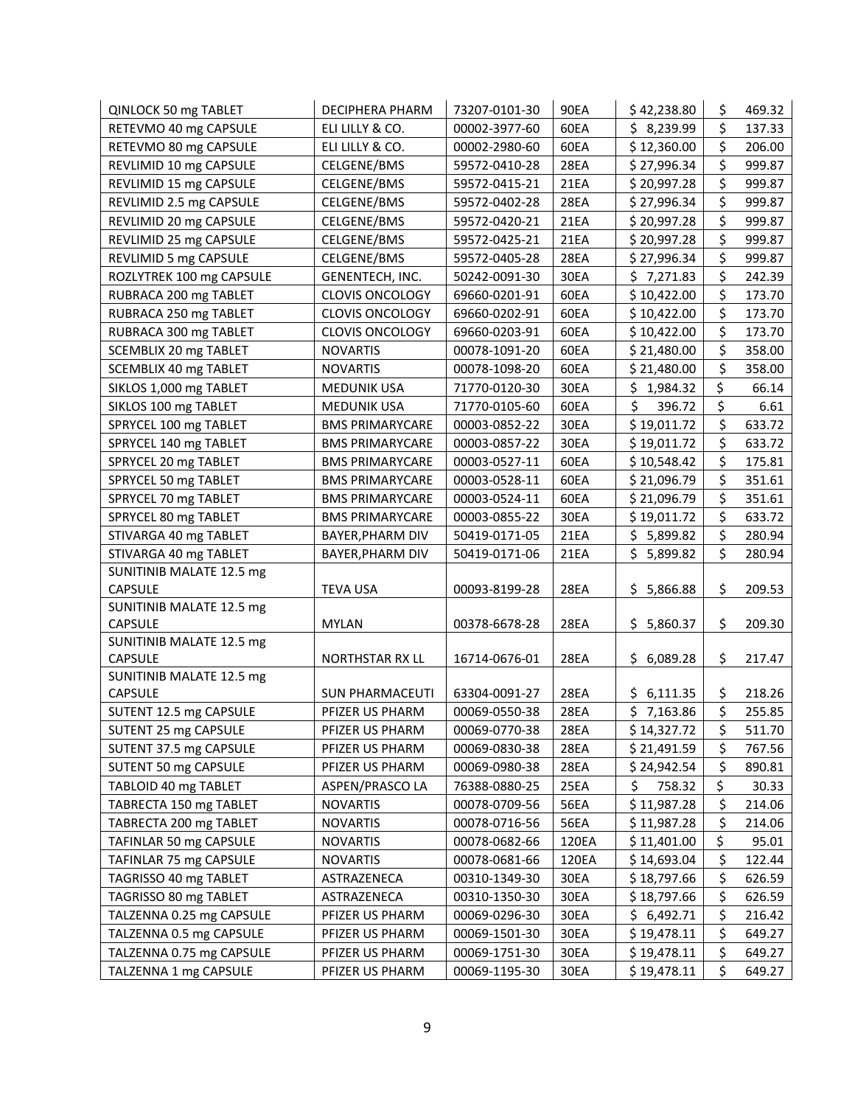| QINLOCK 50 mg TABLET         | <b>DECIPHERA PHARM</b> | 73207-0101-30 | <b>90EA</b> | \$42,238.80    | \$       | 469.32 |
|------------------------------|------------------------|---------------|-------------|----------------|----------|--------|
| RETEVMO 40 mg CAPSULE        | ELI LILLY & CO.        | 00002-3977-60 | 60EA        | \$8,239.99     | \$       | 137.33 |
| RETEVMO 80 mg CAPSULE        | ELI LILLY & CO.        | 00002-2980-60 | 60EA        | \$12,360.00    | \$       | 206.00 |
| REVLIMID 10 mg CAPSULE       | CELGENE/BMS            | 59572-0410-28 | 28EA        | \$27,996.34    | \$       | 999.87 |
| REVLIMID 15 mg CAPSULE       | CELGENE/BMS            | 59572-0415-21 | 21EA        | \$20,997.28    | \$       | 999.87 |
| REVLIMID 2.5 mg CAPSULE      | CELGENE/BMS            | 59572-0402-28 | <b>28EA</b> | \$27,996.34    | \$       | 999.87 |
| REVLIMID 20 mg CAPSULE       | CELGENE/BMS            | 59572-0420-21 | 21EA        | \$20,997.28    | \$       | 999.87 |
| REVLIMID 25 mg CAPSULE       | CELGENE/BMS            | 59572-0425-21 | 21EA        | \$20,997.28    | \$       | 999.87 |
| REVLIMID 5 mg CAPSULE        | CELGENE/BMS            | 59572-0405-28 | 28EA        | \$27,996.34    | \$       | 999.87 |
| ROZLYTREK 100 mg CAPSULE     | GENENTECH, INC.        | 50242-0091-30 | 30EA        | \$7,271.83     | \$       | 242.39 |
| RUBRACA 200 mg TABLET        | CLOVIS ONCOLOGY        | 69660-0201-91 | 60EA        | \$10,422.00    | \$       | 173.70 |
| RUBRACA 250 mg TABLET        | CLOVIS ONCOLOGY        | 69660-0202-91 | 60EA        | \$10,422.00    | \$       | 173.70 |
| RUBRACA 300 mg TABLET        | <b>CLOVIS ONCOLOGY</b> | 69660-0203-91 | 60EA        | \$10,422.00    | \$       | 173.70 |
| SCEMBLIX 20 mg TABLET        | <b>NOVARTIS</b>        | 00078-1091-20 | 60EA        | \$21,480.00    | \$       | 358.00 |
| <b>SCEMBLIX 40 mg TABLET</b> | <b>NOVARTIS</b>        | 00078-1098-20 | 60EA        | \$21,480.00    | \$       | 358.00 |
| SIKLOS 1,000 mg TABLET       | <b>MEDUNIK USA</b>     | 71770-0120-30 | 30EA        | \$<br>1,984.32 | \$       | 66.14  |
| SIKLOS 100 mg TABLET         | <b>MEDUNIK USA</b>     | 71770-0105-60 | 60EA        | \$<br>396.72   | \$       | 6.61   |
| SPRYCEL 100 mg TABLET        | <b>BMS PRIMARYCARE</b> | 00003-0852-22 | 30EA        | \$19,011.72    | \$       | 633.72 |
| SPRYCEL 140 mg TABLET        | <b>BMS PRIMARYCARE</b> | 00003-0857-22 | 30EA        | \$19,011.72    | \$       | 633.72 |
| SPRYCEL 20 mg TABLET         | <b>BMS PRIMARYCARE</b> | 00003-0527-11 | 60EA        | \$10,548.42    | \$       | 175.81 |
| SPRYCEL 50 mg TABLET         | <b>BMS PRIMARYCARE</b> | 00003-0528-11 | 60EA        | \$21,096.79    | \$       | 351.61 |
| SPRYCEL 70 mg TABLET         | <b>BMS PRIMARYCARE</b> | 00003-0524-11 | 60EA        | \$21,096.79    | \$       | 351.61 |
| SPRYCEL 80 mg TABLET         | <b>BMS PRIMARYCARE</b> | 00003-0855-22 | 30EA        | \$19,011.72    | \$       | 633.72 |
| STIVARGA 40 mg TABLET        | BAYER, PHARM DIV       | 50419-0171-05 | 21EA        | \$5,899.82     | \$       | 280.94 |
| STIVARGA 40 mg TABLET        | BAYER, PHARM DIV       | 50419-0171-06 | 21EA        | \$<br>5,899.82 | \$       | 280.94 |
| SUNITINIB MALATE 12.5 mg     |                        |               |             |                |          |        |
| <b>CAPSULE</b>               | <b>TEVA USA</b>        | 00093-8199-28 | <b>28EA</b> | \$5,866.88     | \$       | 209.53 |
| SUNITINIB MALATE 12.5 mg     |                        |               |             |                |          |        |
| <b>CAPSULE</b>               | <b>MYLAN</b>           | 00378-6678-28 | <b>28EA</b> | \$5,860.37     | \$       | 209.30 |
| SUNITINIB MALATE 12.5 mg     |                        |               |             |                |          |        |
| <b>CAPSULE</b>               | NORTHSTAR RX LL        | 16714-0676-01 | <b>28EA</b> | \$6,089.28     | \$       | 217.47 |
| SUNITINIB MALATE 12.5 mg     |                        |               |             |                |          |        |
| <b>CAPSULE</b>               | <b>SUN PHARMACEUTI</b> | 63304-0091-27 | <b>28EA</b> | \$6,111.35     | \$<br>\$ | 218.26 |
| SUTENT 12.5 mg CAPSULE       | PFIZER US PHARM        | 00069-0550-38 | 28EA        | \$7,163.86     |          | 255.85 |
| SUTENT 25 mg CAPSULE         | PFIZER US PHARM        | 00069-0770-38 | 28EA        | \$14,327.72    | Ş        | 511.70 |
| SUTENT 37.5 mg CAPSULE       | PFIZER US PHARM        | 00069-0830-38 | 28EA        | \$21,491.59    | \$       | 767.56 |
| SUTENT 50 mg CAPSULE         | PFIZER US PHARM        | 00069-0980-38 | 28EA        | \$24,942.54    | \$       | 890.81 |
| TABLOID 40 mg TABLET         | ASPEN/PRASCO LA        | 76388-0880-25 | 25EA        | \$.<br>758.32  | \$       | 30.33  |
| TABRECTA 150 mg TABLET       | <b>NOVARTIS</b>        | 00078-0709-56 | 56EA        | \$11,987.28    | \$       | 214.06 |
| TABRECTA 200 mg TABLET       | <b>NOVARTIS</b>        | 00078-0716-56 | 56EA        | \$11,987.28    | \$       | 214.06 |
| TAFINLAR 50 mg CAPSULE       | <b>NOVARTIS</b>        | 00078-0682-66 | 120EA       | \$11,401.00    | \$       | 95.01  |
| TAFINLAR 75 mg CAPSULE       | <b>NOVARTIS</b>        | 00078-0681-66 | 120EA       | \$14,693.04    | \$       | 122.44 |
| TAGRISSO 40 mg TABLET        | ASTRAZENECA            | 00310-1349-30 | 30EA        | \$18,797.66    | \$       | 626.59 |
| TAGRISSO 80 mg TABLET        | ASTRAZENECA            | 00310-1350-30 | 30EA        | \$18,797.66    | \$       | 626.59 |
| TALZENNA 0.25 mg CAPSULE     | PFIZER US PHARM        | 00069-0296-30 | 30EA        | \$6,492.71     | \$       | 216.42 |
| TALZENNA 0.5 mg CAPSULE      | PFIZER US PHARM        | 00069-1501-30 | 30EA        | \$19,478.11    | \$       | 649.27 |
| TALZENNA 0.75 mg CAPSULE     | PFIZER US PHARM        | 00069-1751-30 | 30EA        | \$19,478.11    | \$       | 649.27 |
| TALZENNA 1 mg CAPSULE        | PFIZER US PHARM        | 00069-1195-30 | 30EA        | \$19,478.11    | \$       | 649.27 |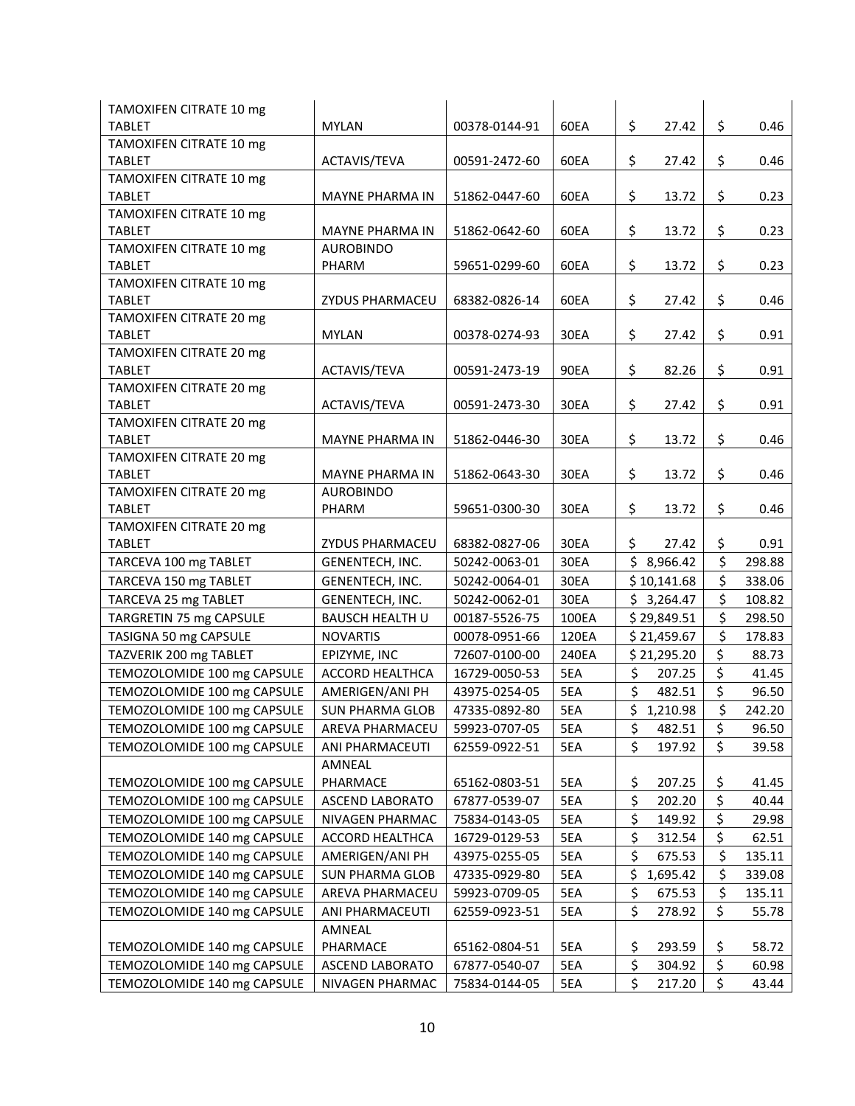| TAMOXIFEN CITRATE 10 mg                  |                        |               |       |                   |              |
|------------------------------------------|------------------------|---------------|-------|-------------------|--------------|
| <b>TABLET</b>                            | <b>MYLAN</b>           | 00378-0144-91 | 60EA  | \$<br>27.42       | \$<br>0.46   |
| TAMOXIFEN CITRATE 10 mg                  |                        |               |       |                   |              |
| <b>TABLET</b>                            | ACTAVIS/TEVA           | 00591-2472-60 | 60EA  | \$<br>27.42       | \$<br>0.46   |
| TAMOXIFEN CITRATE 10 mg                  |                        |               |       |                   |              |
| <b>TABLET</b>                            | <b>MAYNE PHARMA IN</b> | 51862-0447-60 | 60EA  | \$<br>13.72       | \$<br>0.23   |
| TAMOXIFEN CITRATE 10 mg                  |                        |               |       |                   |              |
| <b>TABLET</b>                            | <b>MAYNE PHARMA IN</b> | 51862-0642-60 | 60EA  | \$<br>13.72       | \$<br>0.23   |
| TAMOXIFEN CITRATE 10 mg                  | <b>AUROBINDO</b>       |               |       |                   |              |
| <b>TABLET</b>                            | PHARM                  | 59651-0299-60 | 60EA  | \$<br>13.72       | \$<br>0.23   |
| TAMOXIFEN CITRATE 10 mg<br><b>TABLET</b> | ZYDUS PHARMACEU        | 68382-0826-14 | 60EA  | \$<br>27.42       | \$<br>0.46   |
| TAMOXIFEN CITRATE 20 mg                  |                        |               |       |                   |              |
| <b>TABLET</b>                            | <b>MYLAN</b>           | 00378-0274-93 | 30EA  | \$<br>27.42       | \$<br>0.91   |
| TAMOXIFEN CITRATE 20 mg                  |                        |               |       |                   |              |
| <b>TABLET</b>                            | ACTAVIS/TEVA           | 00591-2473-19 | 90EA  | \$<br>82.26       | \$<br>0.91   |
| TAMOXIFEN CITRATE 20 mg                  |                        |               |       |                   |              |
| <b>TABLET</b>                            | ACTAVIS/TEVA           | 00591-2473-30 | 30EA  | \$<br>27.42       | \$<br>0.91   |
| TAMOXIFEN CITRATE 20 mg                  |                        |               |       |                   |              |
| <b>TABLET</b>                            | <b>MAYNE PHARMA IN</b> | 51862-0446-30 | 30EA  | \$<br>13.72       | \$<br>0.46   |
| TAMOXIFEN CITRATE 20 mg                  |                        |               |       |                   |              |
| <b>TABLET</b>                            | <b>MAYNE PHARMA IN</b> | 51862-0643-30 | 30EA  | \$<br>13.72       | \$<br>0.46   |
| TAMOXIFEN CITRATE 20 mg                  | <b>AUROBINDO</b>       |               |       |                   |              |
| <b>TABLET</b>                            | PHARM                  | 59651-0300-30 | 30EA  | \$<br>13.72       | \$<br>0.46   |
| TAMOXIFEN CITRATE 20 mg                  |                        |               |       |                   |              |
| <b>TABLET</b>                            | ZYDUS PHARMACEU        | 68382-0827-06 | 30EA  | \$<br>27.42       | \$<br>0.91   |
| TARCEVA 100 mg TABLET                    | GENENTECH, INC.        | 50242-0063-01 | 30EA  | \$8,966.42        | \$<br>298.88 |
| TARCEVA 150 mg TABLET                    | GENENTECH, INC.        | 50242-0064-01 | 30EA  | \$10,141.68       | \$<br>338.06 |
| TARCEVA 25 mg TABLET                     | GENENTECH, INC.        | 50242-0062-01 | 30EA  | \$3,264.47        | \$<br>108.82 |
| TARGRETIN 75 mg CAPSULE                  | <b>BAUSCH HEALTH U</b> | 00187-5526-75 | 100EA | \$29,849.51       | \$<br>298.50 |
| TASIGNA 50 mg CAPSULE                    | <b>NOVARTIS</b>        | 00078-0951-66 | 120EA | \$21,459.67       | \$<br>178.83 |
| TAZVERIK 200 mg TABLET                   | EPIZYME, INC           | 72607-0100-00 | 240EA | \$21,295.20       | \$<br>88.73  |
| TEMOZOLOMIDE 100 mg CAPSULE              | ACCORD HEALTHCA        | 16729-0050-53 | 5EA   | \$<br>207.25      | \$<br>41.45  |
| TEMOZOLOMIDE 100 mg CAPSULE              | AMERIGEN/ANI PH        | 43975-0254-05 | 5EA   | $\zeta$<br>482.51 | \$<br>96.50  |
| TEMOZOLOMIDE 100 mg CAPSULE              | <b>SUN PHARMA GLOB</b> | 47335-0892-80 | 5EA   | \$1,210.98        | \$<br>242.20 |
| TEMOZOLOMIDE 100 mg CAPSULE              | AREVA PHARMACEU        | 59923-0707-05 | 5EA   | \$ 482.51         | \$<br>96.50  |
| TEMOZOLOMIDE 100 mg CAPSULE              | ANI PHARMACEUTI        | 62559-0922-51 | 5EA   | \$<br>197.92      | \$<br>39.58  |
|                                          | AMNEAL                 |               |       |                   |              |
| TEMOZOLOMIDE 100 mg CAPSULE              | PHARMACE               | 65162-0803-51 | 5EA   | 207.25<br>\$      | \$<br>41.45  |
| TEMOZOLOMIDE 100 mg CAPSULE              | <b>ASCEND LABORATO</b> | 67877-0539-07 | 5EA   | \$<br>202.20      | \$<br>40.44  |
| TEMOZOLOMIDE 100 mg CAPSULE              | NIVAGEN PHARMAC        | 75834-0143-05 | 5EA   | \$<br>149.92      | \$<br>29.98  |
| TEMOZOLOMIDE 140 mg CAPSULE              | ACCORD HEALTHCA        | 16729-0129-53 | 5EA   | \$<br>312.54      | \$<br>62.51  |
| TEMOZOLOMIDE 140 mg CAPSULE              | AMERIGEN/ANI PH        | 43975-0255-05 | 5EA   | \$<br>675.53      | \$<br>135.11 |
| TEMOZOLOMIDE 140 mg CAPSULE              | <b>SUN PHARMA GLOB</b> | 47335-0929-80 | 5EA   | \$<br>1,695.42    | \$<br>339.08 |
| TEMOZOLOMIDE 140 mg CAPSULE              | AREVA PHARMACEU        | 59923-0709-05 | 5EA   | \$<br>675.53      | \$<br>135.11 |
| TEMOZOLOMIDE 140 mg CAPSULE              | ANI PHARMACEUTI        | 62559-0923-51 | 5EA   | \$<br>278.92      | \$<br>55.78  |
|                                          | AMNEAL                 |               |       |                   |              |
| TEMOZOLOMIDE 140 mg CAPSULE              | PHARMACE               | 65162-0804-51 | 5EA   | \$<br>293.59      | \$<br>58.72  |
| TEMOZOLOMIDE 140 mg CAPSULE              | ASCEND LABORATO        | 67877-0540-07 | 5EA   | \$<br>304.92      | \$<br>60.98  |
| TEMOZOLOMIDE 140 mg CAPSULE              | NIVAGEN PHARMAC        | 75834-0144-05 | 5EA   | \$<br>217.20      | \$<br>43.44  |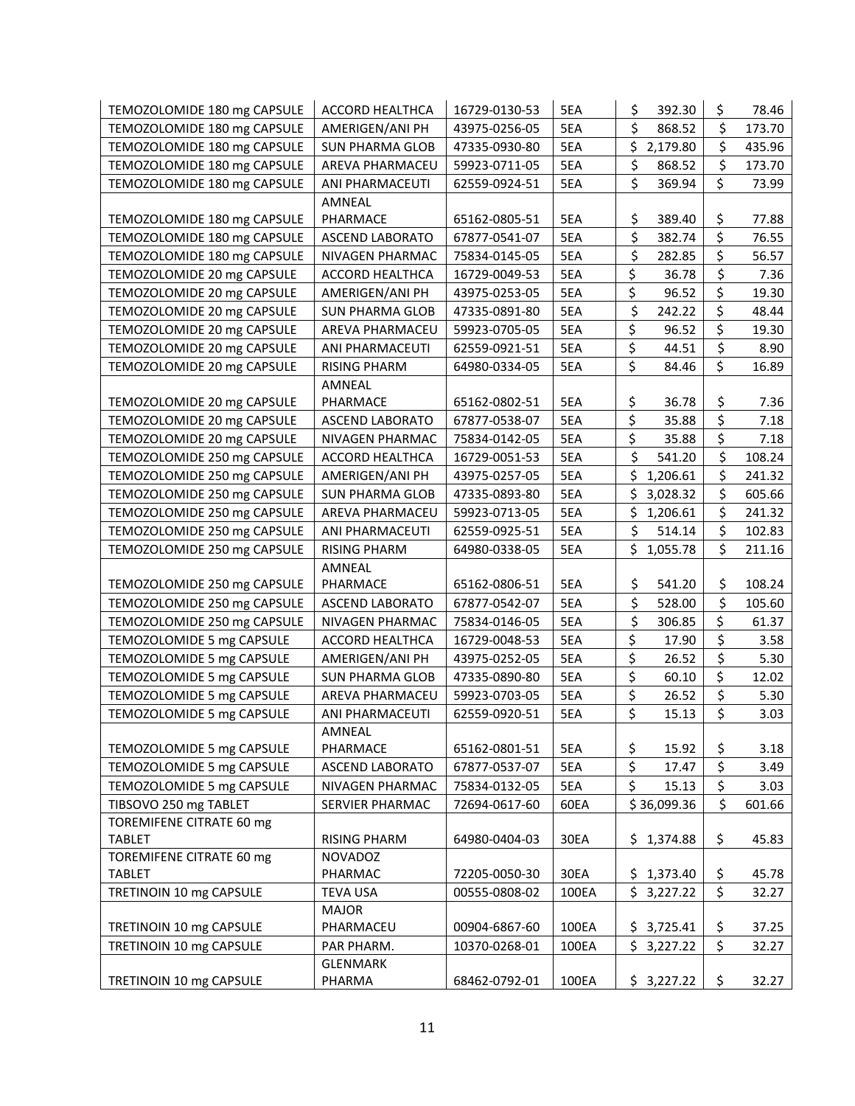| TEMOZOLOMIDE 180 mg CAPSULE | <b>ACCORD HEALTHCA</b>    | 16729-0130-53 | 5EA   | 392.30<br>\$   | \$                      | 78.46  |
|-----------------------------|---------------------------|---------------|-------|----------------|-------------------------|--------|
| TEMOZOLOMIDE 180 mg CAPSULE | AMERIGEN/ANI PH           | 43975-0256-05 | 5EA   | \$<br>868.52   | \$                      | 173.70 |
| TEMOZOLOMIDE 180 mg CAPSULE | <b>SUN PHARMA GLOB</b>    | 47335-0930-80 | 5EA   | \$2,179.80     | \$                      | 435.96 |
| TEMOZOLOMIDE 180 mg CAPSULE | AREVA PHARMACEU           | 59923-0711-05 | 5EA   | \$<br>868.52   | \$                      | 173.70 |
| TEMOZOLOMIDE 180 mg CAPSULE | ANI PHARMACEUTI           | 62559-0924-51 | 5EA   | \$<br>369.94   | \$                      | 73.99  |
|                             | <b>AMNEAL</b>             |               |       |                |                         |        |
| TEMOZOLOMIDE 180 mg CAPSULE | PHARMACE                  | 65162-0805-51 | 5EA   | \$<br>389.40   | \$                      | 77.88  |
| TEMOZOLOMIDE 180 mg CAPSULE | <b>ASCEND LABORATO</b>    | 67877-0541-07 | 5EA   | \$<br>382.74   | $\overline{\mathsf{S}}$ | 76.55  |
| TEMOZOLOMIDE 180 mg CAPSULE | NIVAGEN PHARMAC           | 75834-0145-05 | 5EA   | \$<br>282.85   | \$                      | 56.57  |
| TEMOZOLOMIDE 20 mg CAPSULE  | <b>ACCORD HEALTHCA</b>    | 16729-0049-53 | 5EA   | \$<br>36.78    | \$                      | 7.36   |
| TEMOZOLOMIDE 20 mg CAPSULE  | AMERIGEN/ANI PH           | 43975-0253-05 | 5EA   | \$<br>96.52    | \$                      | 19.30  |
| TEMOZOLOMIDE 20 mg CAPSULE  | <b>SUN PHARMA GLOB</b>    | 47335-0891-80 | 5EA   | \$<br>242.22   | \$                      | 48.44  |
| TEMOZOLOMIDE 20 mg CAPSULE  | AREVA PHARMACEU           | 59923-0705-05 | 5EA   | \$<br>96.52    | \$                      | 19.30  |
| TEMOZOLOMIDE 20 mg CAPSULE  | ANI PHARMACEUTI           | 62559-0921-51 | 5EA   | \$<br>44.51    | \$                      | 8.90   |
| TEMOZOLOMIDE 20 mg CAPSULE  | <b>RISING PHARM</b>       | 64980-0334-05 | 5EA   | \$<br>84.46    | \$                      | 16.89  |
|                             | AMNEAL                    |               |       |                |                         |        |
| TEMOZOLOMIDE 20 mg CAPSULE  | PHARMACE                  | 65162-0802-51 | 5EA   | \$<br>36.78    | \$                      | 7.36   |
| TEMOZOLOMIDE 20 mg CAPSULE  | <b>ASCEND LABORATO</b>    | 67877-0538-07 | 5EA   | \$<br>35.88    | \$                      | 7.18   |
| TEMOZOLOMIDE 20 mg CAPSULE  | NIVAGEN PHARMAC           | 75834-0142-05 | 5EA   | \$<br>35.88    | \$                      | 7.18   |
| TEMOZOLOMIDE 250 mg CAPSULE | ACCORD HEALTHCA           | 16729-0051-53 | 5EA   | \$<br>541.20   | \$                      | 108.24 |
| TEMOZOLOMIDE 250 mg CAPSULE | AMERIGEN/ANI PH           | 43975-0257-05 | 5EA   | \$<br>1,206.61 | \$                      | 241.32 |
| TEMOZOLOMIDE 250 mg CAPSULE | <b>SUN PHARMA GLOB</b>    | 47335-0893-80 | 5EA   | \$<br>3,028.32 | \$                      | 605.66 |
| TEMOZOLOMIDE 250 mg CAPSULE | AREVA PHARMACEU           | 59923-0713-05 | 5EA   | \$1,206.61     | \$                      | 241.32 |
| TEMOZOLOMIDE 250 mg CAPSULE | ANI PHARMACEUTI           | 62559-0925-51 | 5EA   | \$<br>514.14   | \$                      | 102.83 |
| TEMOZOLOMIDE 250 mg CAPSULE | <b>RISING PHARM</b>       | 64980-0338-05 | 5EA   | \$<br>1,055.78 | \$                      | 211.16 |
|                             | AMNEAL                    |               |       |                |                         |        |
| TEMOZOLOMIDE 250 mg CAPSULE | PHARMACE                  | 65162-0806-51 | 5EA   | \$<br>541.20   | \$                      | 108.24 |
| TEMOZOLOMIDE 250 mg CAPSULE | <b>ASCEND LABORATO</b>    | 67877-0542-07 | 5EA   | \$<br>528.00   | \$                      | 105.60 |
| TEMOZOLOMIDE 250 mg CAPSULE | <b>NIVAGEN PHARMAC</b>    | 75834-0146-05 | 5EA   | \$<br>306.85   | \$                      | 61.37  |
| TEMOZOLOMIDE 5 mg CAPSULE   | <b>ACCORD HEALTHCA</b>    | 16729-0048-53 | 5EA   | \$<br>17.90    | \$                      | 3.58   |
| TEMOZOLOMIDE 5 mg CAPSULE   | AMERIGEN/ANI PH           | 43975-0252-05 | 5EA   | \$<br>26.52    | \$                      | 5.30   |
| TEMOZOLOMIDE 5 mg CAPSULE   | <b>SUN PHARMA GLOB</b>    | 47335-0890-80 | 5EA   | \$<br>60.10    | \$                      | 12.02  |
| TEMOZOLOMIDE 5 mg CAPSULE   | AREVA PHARMACEU           | 59923-0703-05 | 5EA   | \$<br>26.52    | \$                      | 5.30   |
| TEMOZOLOMIDE 5 mg CAPSULE   | ANI PHARMACEUTI           | 62559-0920-51 | 5EA   | \$<br>15.13    | \$                      | 3.03   |
|                             | AMNEAL                    |               |       |                |                         |        |
| TEMOZOLOMIDE 5 mg CAPSULE   | PHARMACE                  | 65162-0801-51 | 5EA   | \$<br>15.92    | \$                      | 3.18   |
| TEMOZOLOMIDE 5 mg CAPSULE   | <b>ASCEND LABORATO</b>    | 67877-0537-07 | 5EA   | \$<br>17.47    | \$                      | 3.49   |
| TEMOZOLOMIDE 5 mg CAPSULE   | NIVAGEN PHARMAC           | 75834-0132-05 | 5EA   | \$<br>15.13    | \$                      | 3.03   |
| TIBSOVO 250 mg TABLET       | SERVIER PHARMAC           | 72694-0617-60 | 60EA  | \$36,099.36    | \$                      | 601.66 |
| TOREMIFENE CITRATE 60 mg    |                           |               |       |                |                         |        |
| <b>TABLET</b>               | RISING PHARM              | 64980-0404-03 | 30EA  | \$1,374.88     | \$                      | 45.83  |
| TOREMIFENE CITRATE 60 mg    | NOVADOZ                   |               |       |                |                         |        |
| TABLET                      | PHARMAC                   | 72205-0050-30 | 30EA  | \$1,373.40     | \$                      | 45.78  |
| TRETINOIN 10 mg CAPSULE     | TEVA USA                  | 00555-0808-02 | 100EA | \$3,227.22     | \$                      | 32.27  |
|                             | <b>MAJOR</b>              |               |       |                |                         |        |
| TRETINOIN 10 mg CAPSULE     | PHARMACEU                 | 00904-6867-60 | 100EA | \$3,725.41     | \$<br>\$                | 37.25  |
| TRETINOIN 10 mg CAPSULE     | PAR PHARM.                | 10370-0268-01 | 100EA | \$3,227.22     |                         | 32.27  |
| TRETINOIN 10 mg CAPSULE     | <b>GLENMARK</b><br>PHARMA | 68462-0792-01 | 100EA | \$3,227.22     | \$                      | 32.27  |
|                             |                           |               |       |                |                         |        |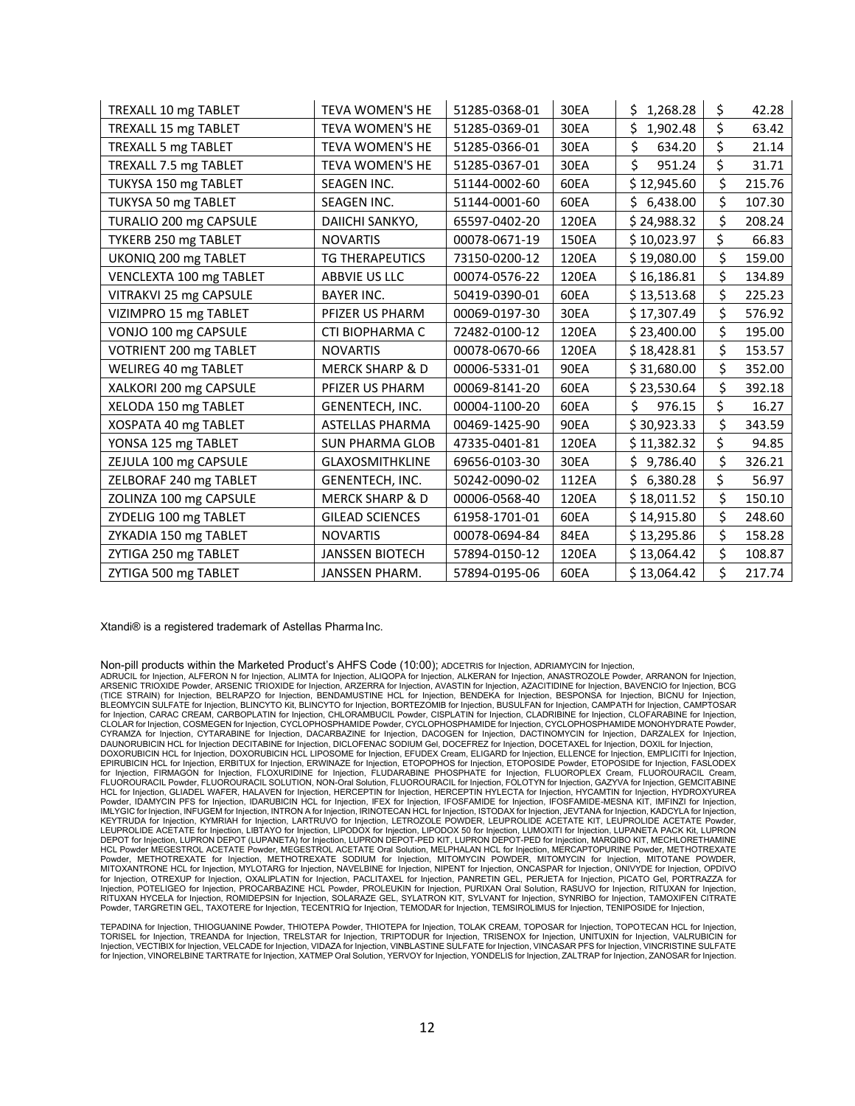| TREXALL 10 mg TABLET    | <b>TEVA WOMEN'S HE</b>     | 51285-0368-01 | 30EA        | \$1,268.28    | \$<br>42.28  |
|-------------------------|----------------------------|---------------|-------------|---------------|--------------|
| TREXALL 15 mg TABLET    | <b>TEVA WOMEN'S HE</b>     | 51285-0369-01 | 30EA        | Ś<br>1,902.48 | \$<br>63.42  |
| TREXALL 5 mg TABLET     | TEVA WOMEN'S HE            | 51285-0366-01 | 30EA        | \$<br>634.20  | \$<br>21.14  |
| TREXALL 7.5 mg TABLET   | TEVA WOMEN'S HE            | 51285-0367-01 | 30EA        | \$<br>951.24  | \$<br>31.71  |
| TUKYSA 150 mg TABLET    | SEAGEN INC.                | 51144-0002-60 | 60EA        | \$12,945.60   | \$<br>215.76 |
| TUKYSA 50 mg TABLET     | <b>SEAGEN INC.</b>         | 51144-0001-60 | 60EA        | Ś<br>6,438.00 | \$<br>107.30 |
| TURALIO 200 mg CAPSULE  | DAIICHI SANKYO,            | 65597-0402-20 | 120EA       | \$24,988.32   | \$<br>208.24 |
| TYKERB 250 mg TABLET    | <b>NOVARTIS</b>            | 00078-0671-19 | 150EA       | \$10,023.97   | \$<br>66.83  |
| UKONIQ 200 mg TABLET    | <b>TG THERAPEUTICS</b>     | 73150-0200-12 | 120EA       | \$19,080.00   | \$<br>159.00 |
| VENCLEXTA 100 mg TABLET | <b>ABBVIE US LLC</b>       | 00074-0576-22 | 120EA       | \$16,186.81   | \$<br>134.89 |
| VITRAKVI 25 mg CAPSULE  | <b>BAYER INC.</b>          | 50419-0390-01 | 60EA        | \$13,513.68   | \$<br>225.23 |
| VIZIMPRO 15 mg TABLET   | PFIZER US PHARM            | 00069-0197-30 | 30EA        | \$17,307.49   | \$<br>576.92 |
| VONJO 100 mg CAPSULE    | CTI BIOPHARMA C            | 72482-0100-12 | 120EA       | \$23,400.00   | \$<br>195.00 |
| VOTRIENT 200 mg TABLET  | <b>NOVARTIS</b>            | 00078-0670-66 | 120EA       | \$18,428.81   | \$<br>153.57 |
| WELIREG 40 mg TABLET    | <b>MERCK SHARP &amp; D</b> | 00006-5331-01 | <b>90EA</b> | \$31,680.00   | \$<br>352.00 |
| XALKORI 200 mg CAPSULE  | PFIZER US PHARM            | 00069-8141-20 | 60EA        | \$23,530.64   | \$<br>392.18 |
| XELODA 150 mg TABLET    | GENENTECH, INC.            | 00004-1100-20 | 60EA        | 976.15<br>Ś.  | \$<br>16.27  |
| XOSPATA 40 mg TABLET    | <b>ASTELLAS PHARMA</b>     | 00469-1425-90 | <b>90EA</b> | \$30,923.33   | \$<br>343.59 |
| YONSA 125 mg TABLET     | <b>SUN PHARMA GLOB</b>     | 47335-0401-81 | 120EA       | \$11,382.32   | \$<br>94.85  |
| ZEJULA 100 mg CAPSULE   | <b>GLAXOSMITHKLINE</b>     | 69656-0103-30 | 30EA        | Ś<br>9,786.40 | \$<br>326.21 |
| ZELBORAF 240 mg TABLET  | GENENTECH, INC.            | 50242-0090-02 | 112EA       | Ś<br>6,380.28 | \$<br>56.97  |
| ZOLINZA 100 mg CAPSULE  | <b>MERCK SHARP &amp; D</b> | 00006-0568-40 | 120EA       | \$18,011.52   | \$<br>150.10 |
| ZYDELIG 100 mg TABLET   | <b>GILEAD SCIENCES</b>     | 61958-1701-01 | 60EA        | \$14,915.80   | \$<br>248.60 |
| ZYKADIA 150 mg TABLET   | <b>NOVARTIS</b>            | 00078-0694-84 | 84EA        | \$13,295.86   | \$<br>158.28 |
| ZYTIGA 250 mg TABLET    | <b>JANSSEN BIOTECH</b>     | 57894-0150-12 | 120EA       | \$13,064.42   | \$<br>108.87 |
| ZYTIGA 500 mg TABLET    | JANSSEN PHARM.             | 57894-0195-06 | 60EA        | \$13,064.42   | \$<br>217.74 |

Xtandi® is a registered trademark of Astellas PharmaInc.

Non-pill products within the Marketed Product's AHFS Code (10:00); ADCETRIS for Injection, ADRIAMYCIN for Injection,

ADRUCIL for Injection, ALFERON N for Injection, ALIMTA for Injection, ALIQOPA for Injection, ALKERAN for Injection, ANASTROZOLE Powder, ARRANON for Injection,<br>ARSENIC TRIOXIDE Powder, ARSENIC TRIOXIDE for Injection, ARZERR (TICE STRAIN) for Injection, BELRAPZO for Injection, BENDAMUSTINE HCL for Injection, BENDEKA for Injection, BESPONSA for Injection, BICNU for Injection,<br>BLEOMYCIN SULFATE for Injection, BLINCYTO Kit, BLINCYTO for Injection for Injection, CARAC CREAM, CARBOPLATIN for Injection, CHLORAMBUCIL Powder, CISPLATIN for Injection, CLADRIBINE for Injection, CLOFARABINE for Injection, CLOLAR for Injection, COSMEGEN for Injection, CYCLOPHOSPHAMIDE Powder, CYCLOPHOSPHAMIDE for Injection, CYCLOPHOSPHAMIDE MONOHYDRATE Powder,<br>CYRAMZA for Injection, CYTARABINE for Injection, DACARBAZINE for Injection, DACOGE DAUNORUBICIN HCL for Injection DECITABINE for Injection, DICLOFENAC SODIUM Gel, DOCEFREZ for Injection, DOCETAXEL for Injection, DOXIL for Injection,<br>DOXORUBICIN HCL for Injection, DOXORUBICIN HCL LIPOSOME for Injection, E EPIRUBICIN HCL for Injection, ERBITUX for Injection, ERWINAZE for Injection, ETOPOPHOS for Injection, ETOPOSIDE Powder, ETOPOSIDE for Injection, FASLODEX for Injection, FIRMAGON for Injection, FLOXURIDINE for Injection, FLUDARABINE PHOSPHATE for Injection, FLUOROPLEX Cream, FLUOROURACIL Cream,<br>FLUOROURACIL Powder, FLUOROURACIL SOLUTION, NON-Oral Solution, FLUOROURACIL for I HCL for Injection, GLIADEL WAFER, HALAVEN for Injection, HERCEPTIN for Injection, HERCEPTIN HYLECTA for Injection, HYCAMTIN for Injection, HYDROXYUREA<br>Powder, IDAMYCIN PFS for Injection, IDARUBICIN HCL for Injection, IFAS KEYTRUDA for Injection, KYMRIAH for Injection, LARTRUVO for Injection, LETROZOLE POWDER, LEUPROLIDE ACETATE KIT, LEUPROLIDE ACETATE Powder,<br>LEUPROLIDE ACETATE for Injection, LIBTAYO for Injection, LIPODOX for Injection, LI Powder, METHOTREXATE for Injection, METHOTREXATE SODIUM for Injection, MITOMYCIN POWDER, MITOMYCIN for Injection, MITOTANE POWDER, MITOXANTRONE HCL for Injection, MYLOTARG for Injection, NAVELBINE for Injection, NIPENT for Injection, ONCASPAR for Injection, ONIVYDE for Injection, OPDIVO<br>for Injection, OTREXUP for Injection, OXALIPLATIN for Injection, Powder, TARGRETIN GEL, TAXOTERE for Injection, TECENTRIQ for Injection, TEMODAR for Injection, TEMSIROLIMUS for Injection, TENIPOSIDE for Injection,

TEPADINA for Injection, THIOGUANINE Powder, THIOTEPA Powder, THIOTEPA for Injection, TOLAK CREAM, TOPOSAR for Injection, TOPOTECAN HCL for Injection,<br>TORISEL for Injection, TREANDA for Injection, TRELSTAR for Injection, TR for Injection, VINORELBINE TARTRATE for Injection, XATMEP Oral Solution, YERVOY for Injection, YONDELIS for Injection, ZALTRAP for Injection, ZANOSAR for Injection.